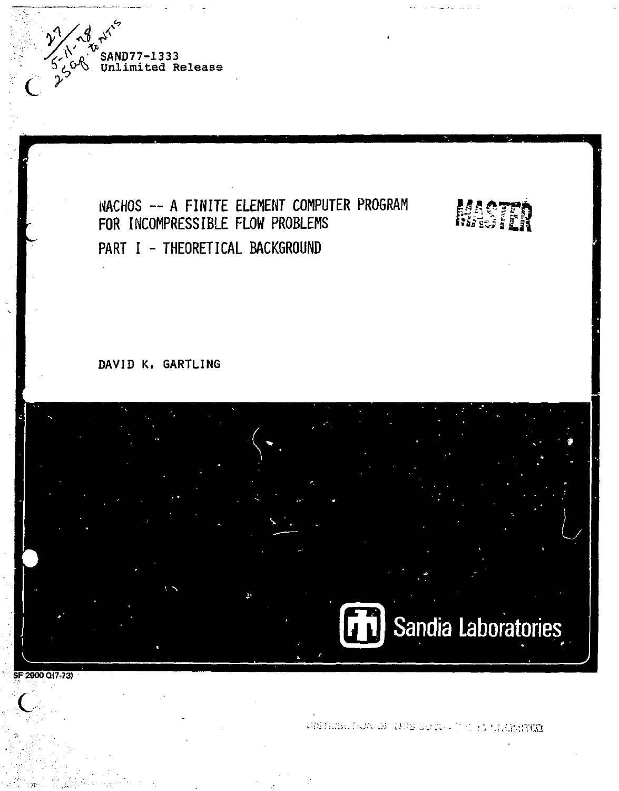

# **NACHOS ~ A FINITE ELEMENT COMPUTER PROGRAM FOR INCOMPRESSIBLE FLOW PROBLEMS PART I - THEORETICAL BACKGROUND**

# DAVID K. GARTLING



**SF2900QI7r73)**   $\overline{C}$ 

DISTRIBUTION OF THIS DO IN JUST IS STRIKINGS

**MOTH**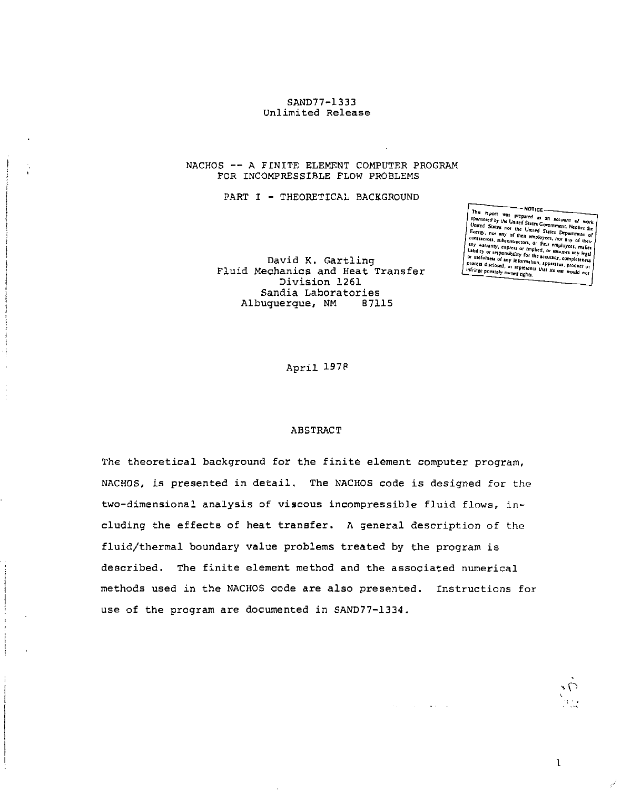#### SAND77-1333 Unlimited Release

#### NACHOS -- A FINITE ELEMENT COMPUTER PROGRAM FOR INCOMPRESSIBLE FLOW PROBLEMS

PART I - THEORETICAL BACKGROUND

David K. Gartling Fluid Mechanics and Heat Transfer Division 1261 Sandia Laboratories<br>Duquerque, NM 87115 Albuquerque, NM

Thu report was prepared as an account of work<br>*United Sules Control States Covernment*, Neither the<br>United States not the linear We of the loved, or represent that its use would not a littling convertely number of the sould not

April 197P

#### ABSTRACT

The theoretical background for the finite element computer program, NACHOS, is presented in detail. The NACHOS code is designed for the two-dimensional analysis of viscous incompressible fluid flows, including the effects of heat transfer. A general description of the fluid/thermal boundary value problems treated by the program is described. The finite element method and the associated numerical methods used in the NACHOS code are also presented. Instructions for use of the program are documented in SAND77-1334.

 $\mathbf{I}$ 

**Service State** 

**-P**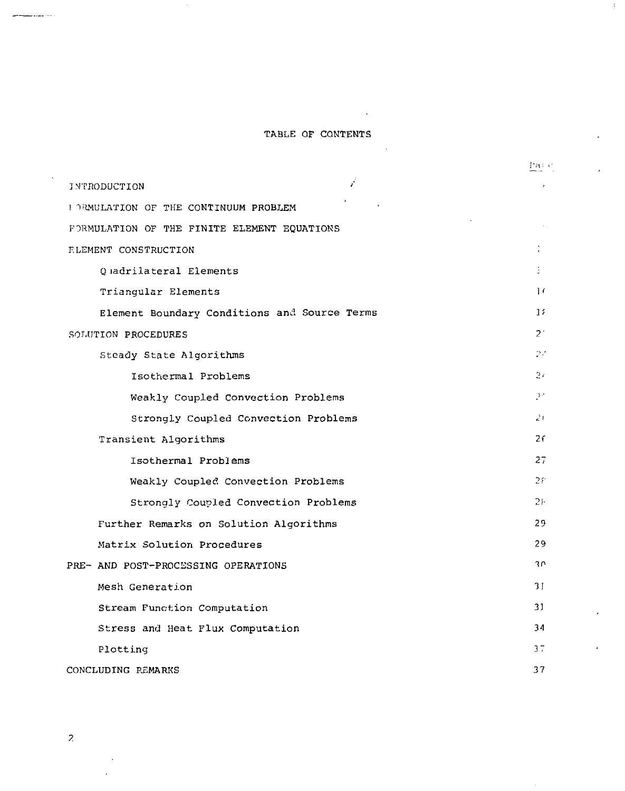# TABLE OF CONTENTS

 $\mathcal{L}^{\text{max}}_{\text{max}}$  ,  $\mathcal{L}^{\text{max}}_{\text{max}}$ 

 $\mathcal{L}$ 

 $\pm$ 

|                                              | Paris          |  |
|----------------------------------------------|----------------|--|
| ŕ<br><b>INTRODUCTION</b>                     |                |  |
| I DRMULATION OF THE CONTINUUM PROBLEM        |                |  |
| FORMULATION OF THE FINITE ELEMENT EQUATIONS  |                |  |
| ELEMENT CONSTRUCTION                         |                |  |
| O madrilateral Elements                      | ÷              |  |
| Triangular Elements                          | $\frac{1}{2}$  |  |
| Element Boundary Conditions and Source Terms | 11             |  |
| SOLUTION PROCEDURES                          | $2^+$          |  |
| Steady State Algorithms                      | 27             |  |
| Isothermal Problems                          | 27             |  |
| Weakly Coupled Convection Problems           | 97             |  |
| Strongly Coupled Convection Problems         | 21             |  |
| Transient Algorithms                         | 2 <sub>f</sub> |  |
| Isothermal Problems                          | 27             |  |
| Weakly Coupled Convection Problems           | 28             |  |
| Strongly Coupled Convection Problems         | $21 -$         |  |
| Further Remarks on Solution Algorithms       | 29.            |  |
| Matrix Solution Procedures                   | 29             |  |
| PRE- AND POST-PROCESSING OPERATIONS          | $30^{\circ}$   |  |
| Mesh Generation                              | 31             |  |
| Stream Function Computation                  | 31             |  |
| Stress and Heat Flux Computation             | 34             |  |
| Plotting                                     | 37             |  |
| CONCLUDING REMARKS                           |                |  |

 $\overline{z}$ 

بالمعير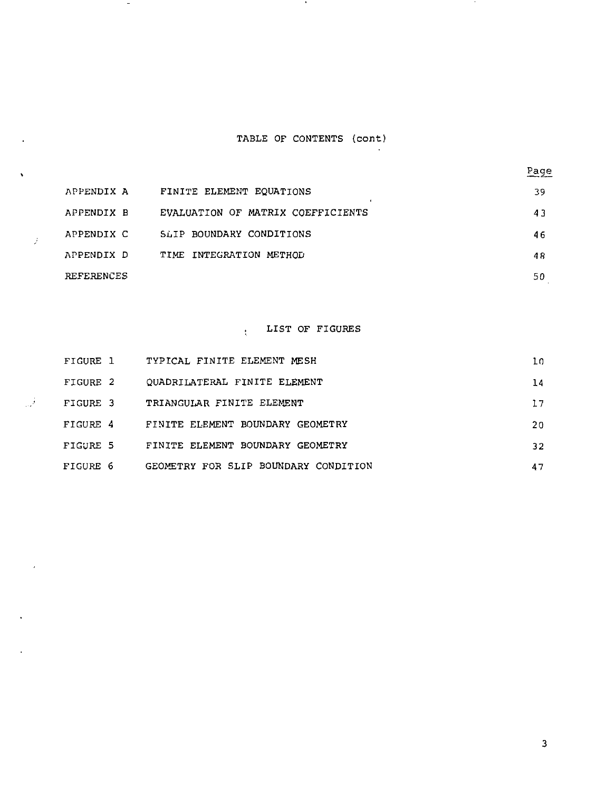# TABLE OF CONTENTS (cont)

 $\sim$ 

 $\sim$ 

 $\mathcal{I}$ 

تول

l,

| APPENDIX A | FINITE ELEMENT EQUATIONS          | 39 |
|------------|-----------------------------------|----|
| APPENDIX B | EVALUATION OF MATRIX COEFFICIENTS | 43 |
| APPENDIX C | SLIP BOUNDARY CONDITIONS          | 46 |
| APPENDIX D | TIME INTEGRATION METHOD           | 48 |
| REFERENCES |                                   | 50 |

#### LIST OF FIGURES  $\mathcal{L}$

| FIGURE 1 | TYPICAL FINITE ELEMENT MESH          | 10 |
|----------|--------------------------------------|----|
| FIGURE 2 | OUADRILATERAL FINITE ELEMENT         | 14 |
| FIGURE 3 | TRIANGULAR FINITE ELEMENT            | 17 |
| FIGURE 4 | FINITE ELEMENT BOUNDARY GEOMETRY     | 20 |
| FIGURE 5 | FINITE ELEMENT BOUNDARY GEOMETRY     | 32 |
| FIGURE 6 | GEOMETRY FOR SLIP BOUNDARY CONDITION | 47 |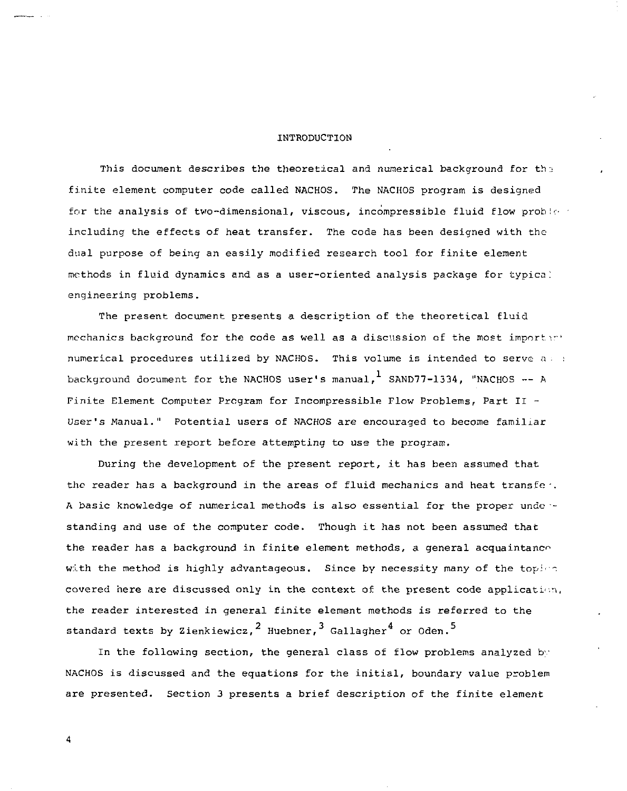#### INTRODUCTION

This document describes the theoretical and numerical background for the finite element computer code called NACHOS. The NACHOS program is designed for the analysis of two-dimensional, viscous, incompressible fluid flow probless including the effects of heat transfer. The code has been designed with the dual purpose of being an easily modified research tool for finite element methods in fluid dynamics and as a user-oriented analysis package for typica; engineering problems.

The present document presents a description of the theoretical fluid mechanics background for the code as well as a discussion of the most important numerical procedures utilized by NACHOS. This volume is intended to serve *a •*  background document for the NACHOS user's manual,  $^1$  SAND77-1334, "NACHOS -- A Finite Element Computer Program for Incompressible Flow Problems, Part II - User's Manual." Potential users of NACHOS are encouraged to become familiar with the present report before attempting to use the program.

During the development of the present report, it has been assumed that the reader has a background in the areas of fluid mechanics and heat transfer. A basic knowledge of numerical methods is also essential for the proper undo - standing and use of the computer code. Though it has not been assumed that the reader has a background in finite element methods, a general acquaintance with the method is highly advantageous. Since by necessity many of the topies covered here are discussed only in the context of the present code application, the reader interested in general finite element methods is referred to the standard texts by Zienkiewicz,  $^2$  Huebner,  $^3$  Gallagher<sup>4</sup> or Oden.<sup>5</sup>

In the following section, the general class of flow problems analyzed by NACHOS is discussed and the equations for the initial, boundary value problem are presented. Section 3 presents a brief description of the finite element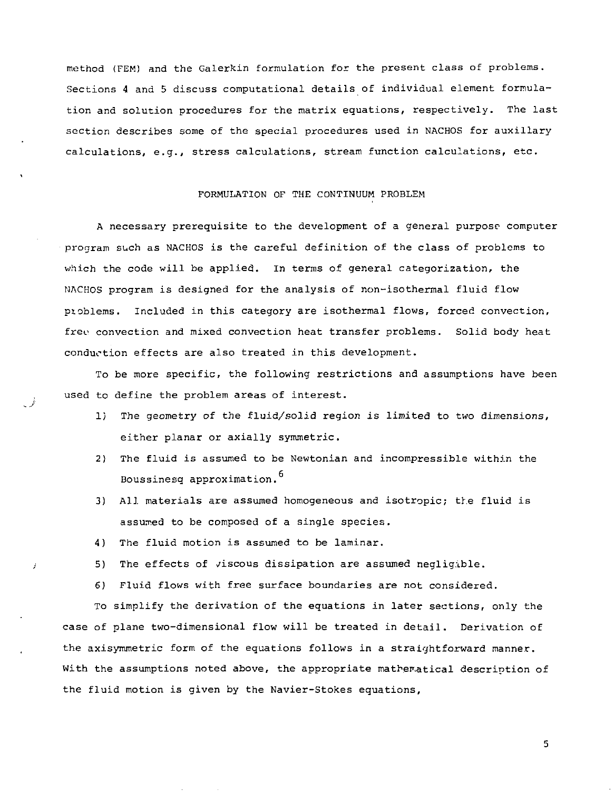method (FEM) and the Galerkin formulation for the present class of problems. Sections 4 and 5 discuss computational details of individual element formulation and solution procedures for the matrix equations, respectively. The last section describes some of the special procedures used in NACHOS for auxiliary calculations, e.g., stress calculations, stream function calculations, etc.

### FORMULATION OF THE CONTINUUM PROBLEM

A necessary prerequisite to the development of a general purpose computer program such as NACHOS is the careful definition of the class of problems to which the code will be applied. In terms of general categorization, the NACHOS program is designed for the analysis of non-isothermal fluid flow pioblems. Included in this category are isothermal flows, forced convection, freo convection and mixed convection heat transfer problems. Solid body heat conduction effects are also treated in this development.

To be more specific, the following restrictions and assumptions have been used to define the problem areas of interest.

- 1) The geometry of the fluid/solid region is limited to two dimensions, either planar or axially symmetric.
- 2) The fluid is assumed to be Newtonian and incompressible within the Boussinesg approximation.<sup>6</sup>
- 3) All materials are assumed homogeneous and isotropic; the fluid is assumed to be composed of a single species.
- 4) The fluid motion is assumed to be laminar.
- 5) The effects of viscous dissipation are assumed negligible.
- 6) Fluid flows with free surface boundaries are not considered.

To simplify the derivation of the equations in later sections, only the case of plane two-dimensional flow will be treated in detail. Derivation of the axisymmetric form of the equations follows in a straightforward manner. With the assumptions noted above, the appropriate mathematical description of the fluid motion is given by the Navier-Stokes equations,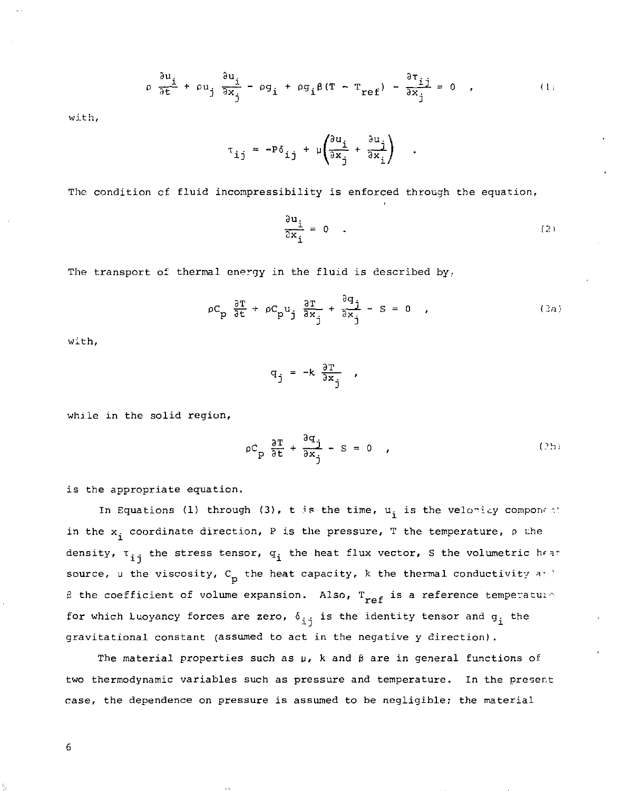$$
\rho \frac{\partial u_i}{\partial t} + \rho u_j \frac{\partial u_j}{\partial x_j} - \rho g_i + \rho g_i \beta (T - T_{ref}) - \frac{\partial \tau_{ij}}{\partial x_j} = 0 \quad , \tag{1}
$$

with.

$$
\tau_{ij} = -P\delta_{ij} + \mu \left( \frac{\partial u_i}{\partial x_j} + \frac{\partial u_j}{\partial x_i} \right)
$$

The condition cf fluid incompressibility is enforced through the equation,

$$
\frac{\partial u_i}{\partial x_i} = 0 \qquad (2)
$$

The transport of thermal energy in the fluid is described by.

$$
\rho C_p \frac{\partial T}{\partial t} + \rho C_p u_j \frac{\partial T}{\partial x_j} + \frac{\partial q_j}{\partial x_j} - S = 0 \quad , \tag{3a}
$$

with,

$$
q_j = -k \frac{\partial T}{\partial x_j} ,
$$

while in the solid region,

$$
\rho C_p \frac{\partial T}{\partial t} + \frac{\partial x_j}{\partial x_j} - S = 0 \t\t(2b)
$$

is the appropriate equation.

In Equations (1) through (3), t is the time,  $u_i$  is the velocity component in the  $x_i$  coordinate direction, P is the pressure, T the temperature,  $\rho$  the density,  $\tau_{i,i}$  the stress tensor,  $q_i$  the heat flux vector, S the volumetric heat source,  $\nu$  the viscosity,  $C_{p}$  the heat capacity, k the thermal conductivity and  $\beta$  the coefficient of volume expansion. Also,  $T_{ref}$  is a reference temperature for which Luoyancy forces are zero,  $\delta_{\pm\frac{1}{2}}$  is the identity tensor and  $g_{\pm}$  the gravitational constant (assumed to act in the negative y direction).

The material properties such as u, k and *&* are in general functions of two thermodynamic variables such as pressure and temperature. In the present case, the dependence on pressure is assumed to be negligible; the material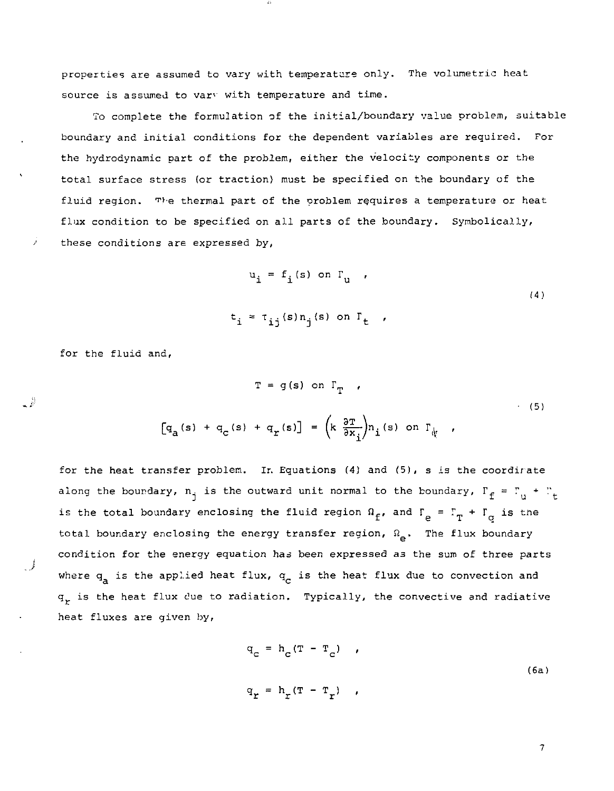properties are assumed to vary with temperature only. The volumetric heat source is assumed to vary with temperature and time.

To complete the formulation of the initial/boundary value problem, suitable boundary and initial conditions for the dependent variables are required. For the hydrodynamic part of the problem, either the velocity components or the total surface stress (or traction) must be specified on the boundary of the fluid region. The thermal part of the problem requires a temperature or heat flux condition to be specified on all parts of the boundary. Symbolically, these conditions are expressed by,

*t i*

$$
u_{i} = f_{i}(s) \text{ on } \Gamma_{u}
$$
\n
$$
i \approx \tau_{ij}(s) n_{j}(s) \text{ on } \Gamma_{t}
$$
\n(4)

for the fluid and,

- 2

$$
T = g(s) \text{ on } \Gamma_T
$$
\n
$$
[q_a(s) + q_c(s) + q_r(s)] = \left(k \frac{\partial T}{\partial x_i}\right) n_i(s) \text{ on } \Gamma_{\psi}
$$
\n(5)

for the heat transfer problem. Ir. Equations (4) and (5), s is the coordir ate along the boundary,  $n_i$  is the outward unit normal to the boundary,  $\Gamma_f = \Gamma_{ij} + \Gamma_{i}$ is the total boundary enclosing the fluid region  $\Omega_f$ , and  $\Gamma_\rho = \Gamma_T + \Gamma_\sigma$  is the total boundary enclosing the energy transfer region,  $\Omega_{\alpha}$ . The flux boundary condition for the energy equation has been expressed as the sum of three parts where  $q_a$  is the applied heat flux,  $q_c$  is the heat flux due to convection and  $q<sub>r</sub>$  is the heat flux due to radiation. Typically, the convective and radiative heat fluxes are given by.

$$
q_c = h_c (T - T_c) \tag{6a}
$$
  

$$
q_r = h_r (T - T_r) \tag{6b}
$$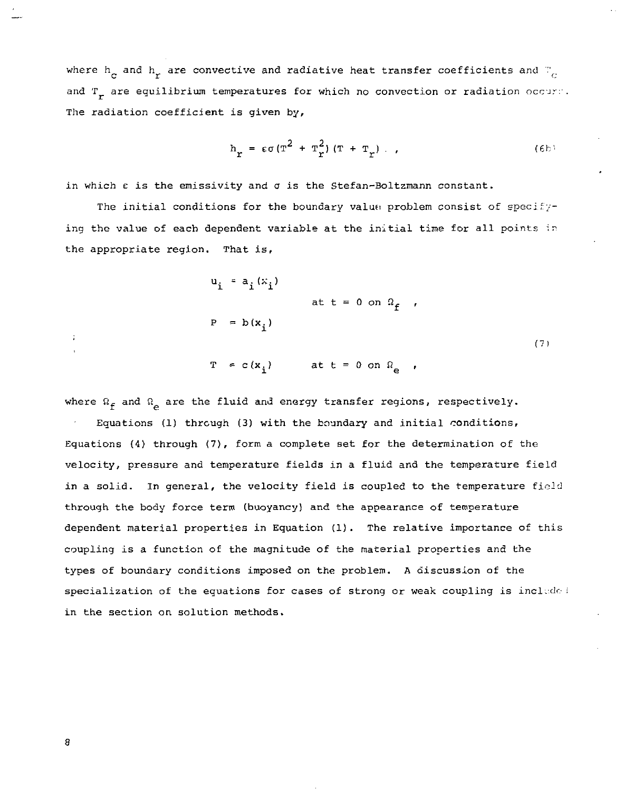where  $\bm{{\mathsf h}}_{_{\bf C}}$  and  $\bm{{\mathsf h}}_{_{\bf T}}$  are convective and radiative heat transfer coefficients and  $\mathbb{F}_{_{\bf C}}$ and  $T_{\star}$  are equilibrium temperatures for which no convection or radiation occur:. The radiation coefficient is given by,

$$
h_{r} = \epsilon \sigma (T^{2} + T_{r}^{2}) (T + T_{r}). \qquad (6b)
$$

in which  $\varepsilon$  is the emissivity and  $\sigma$  is the Stefan-Boltzmann constant.

The initial conditions for the boundary value: problem consist of specifying the value of each dependent variable at the initial time for all points in the appropriate region. That is,

$$
u_{i} = a_{i}(x_{i})
$$
  
at t = 0 on  $\Omega_{f}$ ,  

$$
P = b(x_{i})
$$
  

$$
T = c(x_{i})
$$
at t = 0 on  $\Omega_{e}$ , (7)

where  $\Omega_f$  and  $\Omega_p$  are the fluid and energy transfer regions, respectively.

Equations (1) through (3) with the boundary and initial conditions, Equations (4) through (7), form a complete set for the determination of the velocity, pressure and temperature fields in a fluid and the temperature field in a solid. In general, the velocity field is coupled to the temperature field through the body force term (buoyancy) and the appearance of temperature dependent material properties in Equation (1). The relative importance of this coupling is a function of the magnitude of the material properties and the types of boundary conditions imposed on the problem. A discussion of the specialization of the equations for cases of strong or weak coupling is include: in the section on solution methods.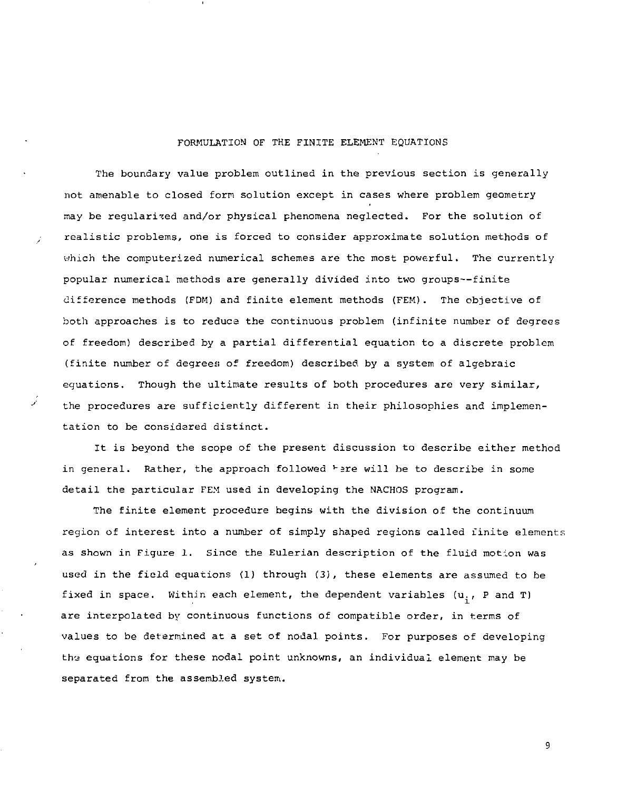# FORMULATION OF THE FINITE ELEMENT EQUATIONS

The boundary value problem outlined in the previous section is generally not amenable to closed form solution except in cases where problem geometry may be regularised and/or physical phenomena neglected. For the solution of realistic problems, one is forced to consider approximate solution methods of which the computerized numerical schemes are the most powerful. The currently popular numerical methods are generally divided into two groups—finite difference methods (FDM) and finite element methods (FEM). The objective of both approaches is to reduce the continuous problem (infinite number of degrees of freedom) described by a partial differential equation to a discrete problem (finite number of degrees of freedom) described, by a system of algebraic equations. Though the ultimate results of both procedures are very similar, the procedures are sufficiently different in their philosophies and implementation to be considered distinct.

It is beyond the scope of the present discussion to describe either method in general. Rather, the approach followed  $\vdash$  are will be to describe in some detail the particular FEM used in developing the NACHOS program.

The finite element procedure begins with the division of the continuum region of interest into a number of simply shaped regions called finite elements as shown in Figure 1. Since the Eulerian description of the fluid motion was used in the field equations (1) through (3), these elements are assumed to be fixed in space. Within each element, the dependent variables  $(u_i, P$  and T) are interpolated by continuous functions of compatible order, in terms of values to be determined at a set of nodal points. For purposes of developing the equations for these nodal point unknowns, an individual element may be separated from the assembled system.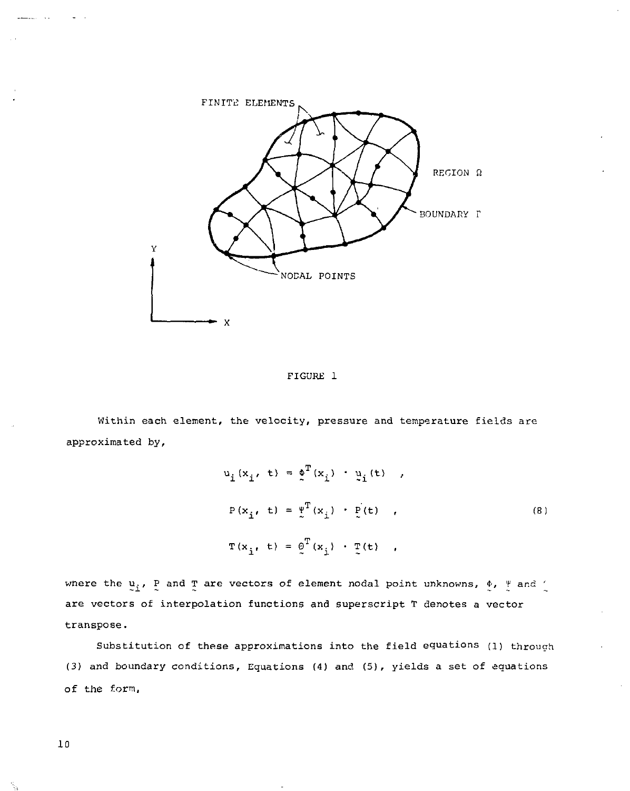

FIGURE 1

Within each element, the velocity, pressure and temperature fields are approximated by,

$$
u_{i}(x_{i}, t) = \oint_{t}^{T}(x_{i}) \cdot \dot{u}_{i}(t),
$$
  
\n
$$
P(x_{i}, t) = \dot{v}^{T}(x_{i}) \cdot \dot{v}(t),
$$
  
\n
$$
T(x_{i}, t) = \dot{\varrho}^{T}(x_{i}) \cdot \dot{T}(t),
$$
  
\n(8)

where the  $u_i$ , P and T are vectors of element nodal point unknowns,  $\phi$ ,  $\frac{v}{\lambda}$  and  $\frac{v}{\lambda}$ are vectors of interpolation functions and superscript T denotes a vector transpose.

Substitution of these approximations into the field equations (l) through (3) and boundary conditions. Equations (4) and (5), yields a set of equations of the form,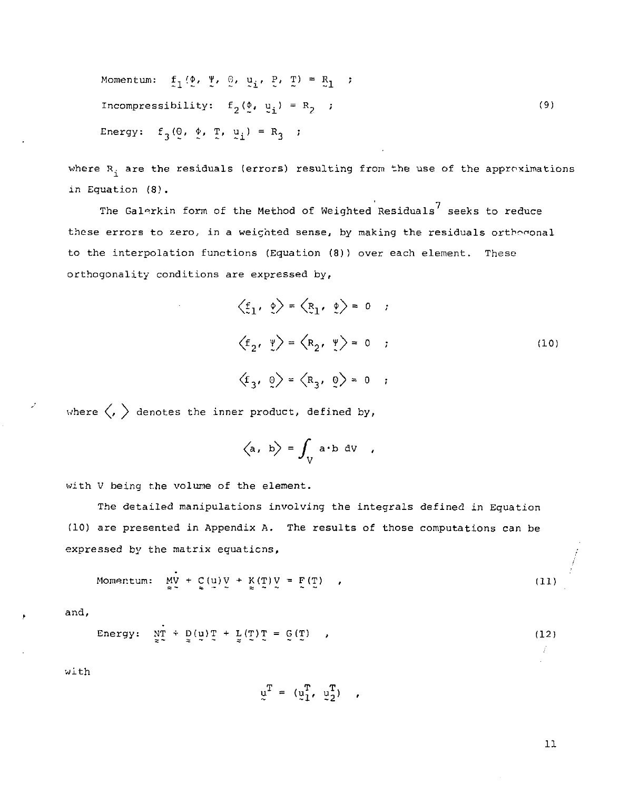Monentum: 
$$
\underline{f}_1 \cdot (\underline{v}, \underline{v}, \underline{v}, \underline{v}, \underline{v}, \underline{r}) = \underline{R}_1
$$
;

\nIncompressibility:  $f_2(\underline{v}, \underline{v}_1) = R_2$ ;

\nEnergy:  $f_3(\underline{0}, \underline{v}, \underline{r}, \underline{v}_1) = R_3$ ;

\n(9)

where  $R_i$  are the residuals (errors) resulting from the use of the approximations in Equation (8).

The Galerkin form of the Method of Weighted Residuals $^7$  seeks to reduce these errors to zero, in a weighted sense, by making the residuals orthogonal to the interpolation functions (Equation (8)) over each element. These orthogonality conditions are expressed by,

$$
\langle \underline{f}_1, \underline{v} \rangle = \langle \underline{R}_1, \underline{v} \rangle = 0 ;
$$
  

$$
\langle \underline{f}_2, \underline{v} \rangle = \langle \underline{R}_2, \underline{v} \rangle = 0 ;
$$
  

$$
\langle \underline{f}_3, \underline{v} \rangle = \langle \underline{R}_3, \underline{v} \rangle = 0 ;
$$
  
(10)

where  $\langle , \rangle$  denotes the inner product, defined by,

$$
\langle \mathsf{a}, \mathsf{b} \rangle = \int_{V} \mathsf{a} \cdot \mathsf{b} \; \mathrm{d}V \quad ,
$$

with V being the volume of the element.

The detailed manipulations involving the integrals defined in Equation (10) are presented in Appendix A. The results of those computations can be expressed by the matrix equations,

$$
\text{Momentum:} \quad \underset{\approx}{\text{MV}} + \underset{\approx}{\text{C}}(\underset{\sim}{\text{U}}) \, \underset{\approx}{\text{V}} + \underset{\approx}{\text{K}}(\underset{\sim}{\text{T}}) \, \underset{\approx}{\text{V}} = \underset{\sim}{\text{F}}(\underset{\sim}{\text{T}}) \tag{11}
$$

and.

Energy: 
$$
\lim_{z \to 0} + \lim_{z \to 0} (\mathbf{u}) \mathbf{T} + \lim_{z \to 0} (\mathbf{T}) \mathbf{T} = \mathbf{G}(\mathbf{T})
$$
 (12)

with

$$
\mathbf{u}^{\mathrm{T}} = (\mathbf{u}_1^{\mathrm{T}}, \mathbf{u}_2^{\mathrm{T}}) ,
$$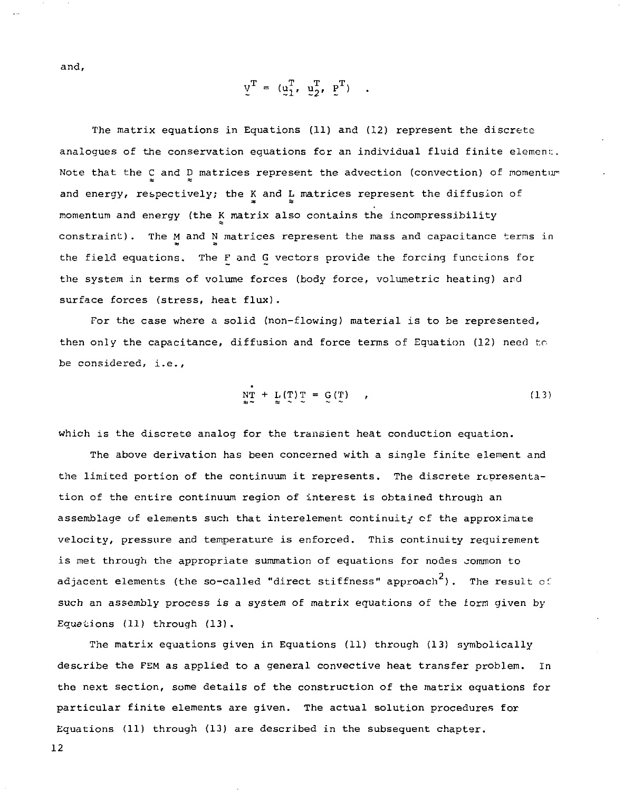and,

 $V^{\text{T}} = (\mu_1^{\text{T}}, \mu_2^{\text{T}}, \mu_1^{\text{T}})$ .

The matrix equations in Equations (11) and (12) represent the discrete analogues of the conservation equations for an individual fluid finite element. Note that the C and D matrices represent the advection (convection) of momentum and energy, respectively; the K and L matrices represent the diffusion of at a\* momentum and energy (the K matrix also contains the incompressibility constraint). The M and N matrices represent the mass and capacitance terms in the field equations. The F and G vectors provide the forcing functions for the system in terms of volume forces (body force, volumetric heating) and surface forces (stress, heat flux).

For the case where a solid (non-flowing) material is to be represented, then only the capacitance, diffusion and force terms of Equation (12) need to be considered, i.e.,

$$
\mathop{\rm NT}_{\mathbf{a} \sim} + \mathop{\rm L}_{\mathbf{z}}(\mathop{\rm T}_{\sim}) \mathop{\rm T}_{\sim} = \mathop{\rm G}_{\sim}(\mathop{\rm T}_{\sim}) \qquad , \tag{13}
$$

which is the discrete analog for the transient heat conduction equation.

The above derivation has been concerned with a single finite element and the limited portion of the continuum it represents. The discrete representation of the entire continuum region of interest is obtained through an assemblage of elements such that interelement continuity of the approximate velocity, pressure and temperature is enforced. This continuity requirement is met through the appropriate summation of equations for nodes common to adjacent elements (the so-called "direct stiffness" approach<sup>2</sup>). The result of such an assembly process is a system of matrix equations of the form given by Equations (11) through (13).

The matrix equations given in Equations (11) through (13) symbolically describe the FEM as applied to a general convective heat transfer problem. In the next section, some details of the construction of the matrix equations for particular finite elements are given. The actual solution procedures for Equations (11) through (13) are described in the subsequent chapter.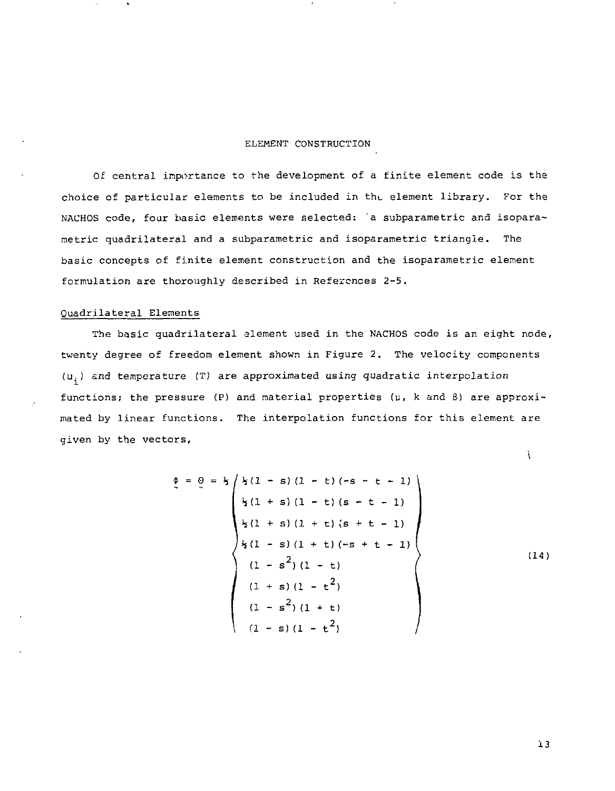# ELEMENT CONSTRUCTION

Of central importance to the development of a finite element code is the choice of particular elements to be included in tht. element library. For the NACHOS code, four basic elements were selected: 'a subparametric and isoparametric quadrilateral and a subparametric and isoparametric triangle. The basic concepts of finite element construction and the isoparametric element formulation are thoroughly described in References 2-5.

# Quadrilateral Elements

The basic quadrilateral element used in the NACHOS code is an eight node, twenty degree of freedom element shown in Figure 2. The velocity components  $(u_i)$  and temperature (T) are approximated using quadratic interpolation functions; the pressure (P) and material properties *(v, k* and B) are approximated by linear functions. The interpolation functions for this element are given by the vectors,

$$
\phi = \phi = \frac{1}{2} \begin{pmatrix} \frac{1}{2}(1 - s)(1 - t)(-s - t - 1) \\ \frac{1}{2}(1 + s)(1 - t)(s - t - 1) \end{pmatrix}
$$
  
\n
$$
\frac{1}{2}(1 + s)(1 + t)(s + t - 1)
$$
  
\n
$$
\frac{1}{2}(1 - s)(1 + t)(-s + t - 1)
$$
  
\n
$$
(1 - s^{2})(1 - t)
$$
  
\n
$$
(1 + s)(1 - t^{2})
$$
  
\n
$$
(1 - s^{2})(1 + t)
$$
  
\n
$$
(1 - s)(1 - t^{2})
$$
  
\n(14)

*\*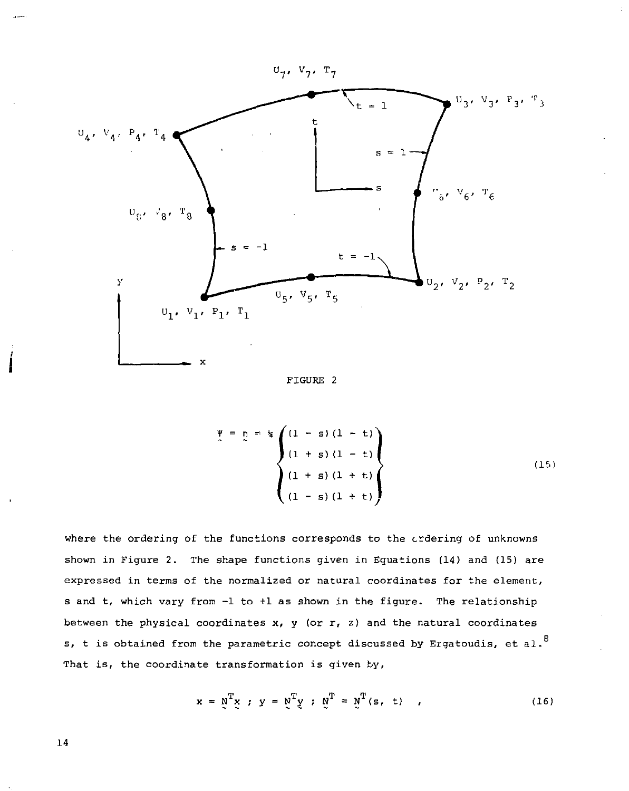

FIGURE 2

$$
\begin{cases}\n\Psi = \eta = k \left\{ \begin{aligned}\n(1 - s) (1 - t) \\
(1 + s) (1 - t)\n\end{aligned}\right\} \\
(1 + s) (1 + t) \\
(1 - s) (1 + t)\n\end{cases}
$$
\n(15)

where the ordering of the functions corresponds to the crdering of unknowns shown in Figure 2. The shape functions given in Equations (14) and (15) are expressed in terms of the normalized or natural coordinates for the element, s and t, which vary from -1 to +1 as shown in the figure. The relationship between the physical coordinates  $x$ ,  $y$  (or  $r$ ,  $z$ ) and the natural coordinates s, t is obtained from the parametric concept discussed by Ergatoudis, et al.<sup>8</sup> That is, the coordinate transformation is given by,

$$
x = \underline{N}^{T} \underline{x} \; ; \; y = \underline{N}^{T} \underline{y} \; ; \; \underline{N}^{T} = \underline{N}^{T} (s, t) \quad , \tag{16}
$$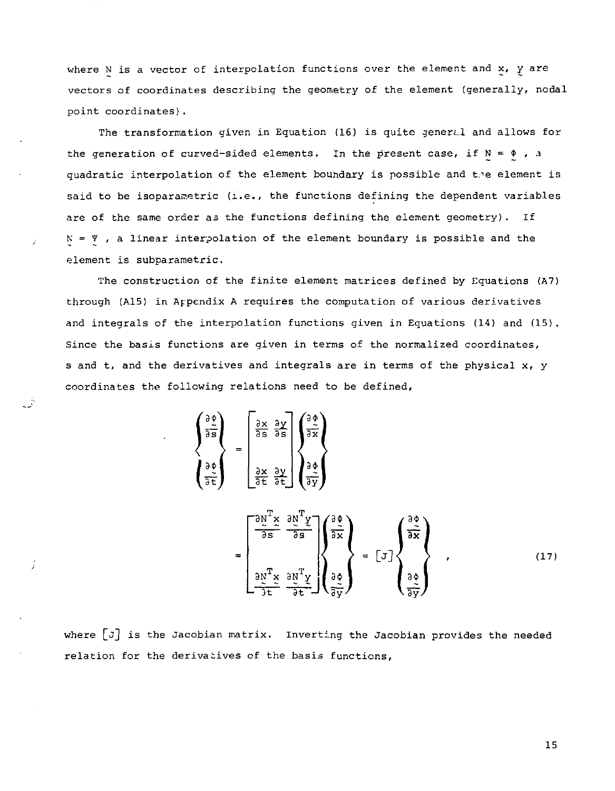where N is a vector of interpolation functions over the element and  $x$ ,  $y$  are vectors of coordinates describing the geometry of the element (generally, nodal point coordinates).

The transformation given in Equation (16) is quite general and allows for the generation of curved-sided elements. In the present case, if  $N = \phi$ , a quadratic interpolation of the element boundary is possible and the element is said to be isoparametric (i.e., the functions defining the dependent variables are of the same order as the functions defining the element geometry). If  $N = \Psi$ , a linear interpolation of the element boundary is possible and the element is subparametric.

The construction of the finite element matrices defined by Equations (A7) through (A15) in Appendix A requires the computation of various derivatives and integrals of the interpolation functions given in Equations (14) and (15). Since the basis functions are given in terms of the normalized coordinates, s and t, and the derivatives and integrals are in terms of the physical x, y coordinates the following relations need to be defined,

$$
\begin{pmatrix}\n\frac{3\pi}{2} \\
\frac{3\pi}{2} \\
\frac{3\pi}{2}\n\end{pmatrix} = \begin{bmatrix}\n\frac{3x}{2} & \frac{3y}{2} \\
\frac{3x}{2} & \frac{3y}{2} \\
\frac{3x}{2} & \frac{3y}{2}\n\end{bmatrix}\n\begin{pmatrix}\n\frac{3x}{2} \\
\frac{3y}{2} \\
\frac{3y}{2}\n\end{pmatrix}
$$
\n
$$
= \begin{bmatrix}\n\frac{3y}{2} & \frac{3y}{2} \\
\frac{3y}{2} & \frac{3y}{2} \\
\frac{3y}{2} & \frac{3y}{2}\n\end{bmatrix}\n\begin{pmatrix}\n\frac{3y}{2} \\
\frac{3y}{2} \\
\frac{3y}{2}\n\end{pmatrix} = \begin{bmatrix}\n\frac{3y}{2} \\
\frac{3y}{2} \\
\frac{3y}{2}\n\end{bmatrix},
$$
\n(17)

where  $\lceil J \rceil$  is the Jacobian matrix. Inverting the Jacobian provides the needed relation for the derivatives of the basis functions,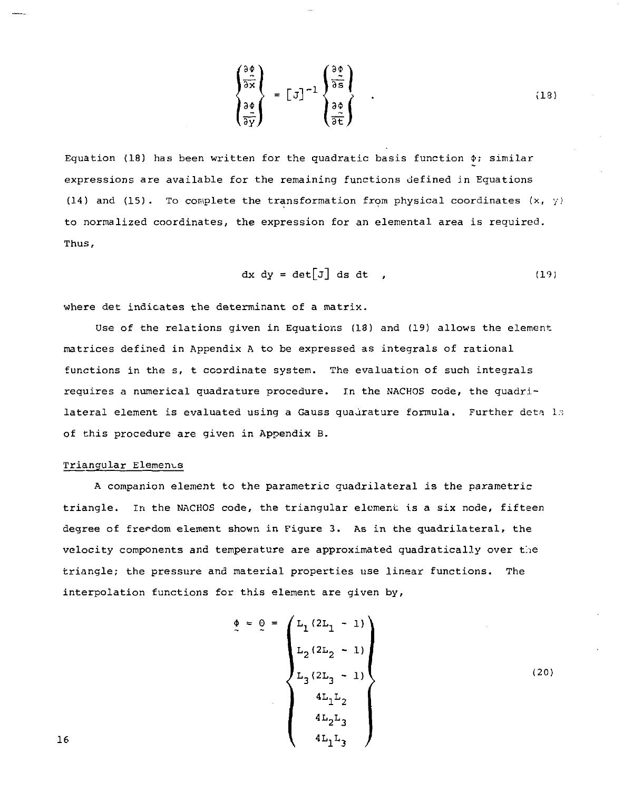$$
\begin{pmatrix}\n\frac{\partial \phi}{\partial x} \\
\frac{\partial \phi}{\partial y} \\
\frac{\partial \phi}{\partial z}\n\end{pmatrix} = \begin{bmatrix} 5 \end{bmatrix}^{-1} \begin{pmatrix}\n\frac{\partial \phi}{\partial x} \\
\frac{\partial \phi}{\partial y} \\
\frac{\partial \phi}{\partial z}\n\end{pmatrix} .
$$
\n(13)

Equation (18) has been written for the quadratic basis function  $\phi$ ; similar expressions are available for the remaining functions defined in Equations (14) and (15). To complete the transformation from physical coordinates  $(x, y)$ to normalized coordinates, the expression for an elemental area is required. Thus,

$$
dx dy = det[J] ds dt , \qquad (19)
$$

where det indicates the determinant of a matrix.

Use of the relations given in Equations (18) and (19) allows the element matrices defined in Appendix A to be expressed as integrals of rational functions in the s, t coordinate system. The evaluation of such integrals requires a numerical quadrature procedure. In the NACHOS code, the quadrilateral element is evaluated using a Gauss quadrature formula. Further deta  $1.5$ of this procedure are given in Appendix B.

#### Triangular Elemems

A companion element to the parametric quadrilateral is the parametric triangle. In the NACHOS code, the triangular element is a six node, fifteen degree of freedom element shown in Figure 3. As in the quadrilateral, the velocity components and temperature are approximated quadratically over the triangle; the pressure and material properties use linear functions. The interpolation functions for this element are given by,

$$
\begin{pmatrix}\n\Phi = \Theta = \begin{pmatrix}\nL_1 (2L_1 - 1) \\
L_2 (2L_2 - 1) \\
L_3 (2L_3 - 1) \\
4L_1L_2 \\
4L_2L_3\n\end{pmatrix}
$$
\n(20)\n  
\n16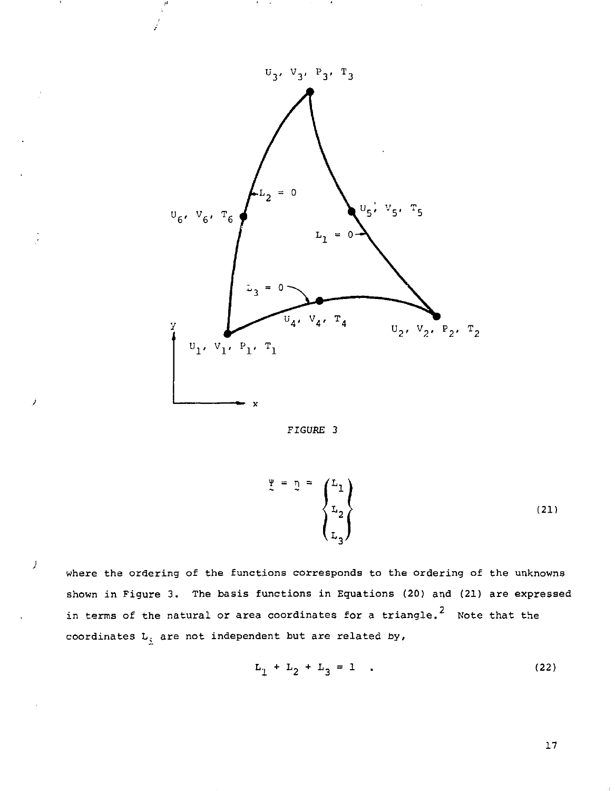

FIGURE 3

$$
\begin{pmatrix} \Psi \\ \Sigma \\ \Sigma \\ \Sigma \\ \Sigma \end{pmatrix} \tag{21}
$$

where the ordering of the functions corresponds to the ordering of the unknowns shown in Figure 3. The basis functions in Equations (20) and (21) are expressed in terms of the natural or area coordinates for a triangle, Note that the coordinates L; are not independent but are related by,

 $\overline{1}$ 

$$
L_1 + L_2 + L_3 = 1 \t\t(22)
$$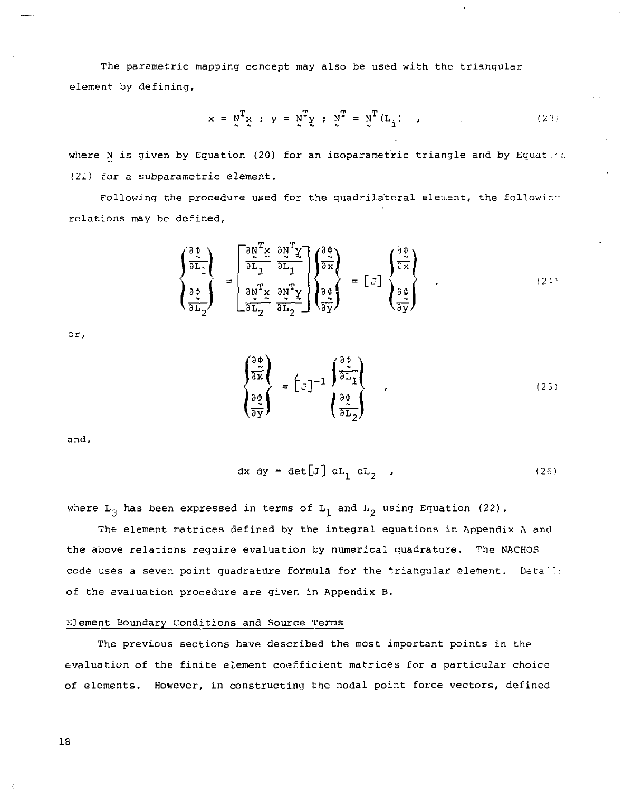The parametric mapping concept may also be used with the triangular element by defining,

$$
x = \tilde{y}^{T} \tilde{x} ; y = \tilde{y}^{T} \tilde{y} ; \tilde{y}^{T} = \tilde{y}^{T} (L_{i})
$$
 (23)

where N is given by Equation (20) for an isoparametric triangle and by Equates. (21) for a subparametric element.

Following the procedure used for the quadrilateral element, the following relations may be defined.

$$
\begin{pmatrix}\n\frac{\partial \phi}{\partial x} \\
\frac{\partial \phi}{\partial x}\n\end{pmatrix} = \begin{bmatrix}\n\frac{\partial y}{\partial x} \frac{\partial x}{\partial x} & \frac{\partial y}{\partial x} \frac{\partial y}{\partial x} \\
\frac{\partial y}{\partial x} \frac{\partial x}{\partial x} & \frac{\partial y}{\partial x} \frac{\partial y}{\partial x}\n\end{pmatrix} = \begin{bmatrix} 0 \\
0 \\
\frac{\partial \phi}{\partial x}\n\end{bmatrix}
$$
\n(21)

or,

$$
\begin{pmatrix}\n\frac{\partial \phi}{\partial x} \\
\frac{\partial \phi}{\partial x}\n\end{pmatrix} = \left[\begin{matrix} 1 \end{matrix}\right]^{-1} \begin{pmatrix}\n\frac{\partial \phi}{\partial x} \\
\frac{\partial \phi}{\partial x} \n\end{pmatrix},
$$
\n(25)

and.

$$
dx dy = det[J] dL_1 dL_2 , \qquad (26)
$$

where  $L_3$  has been expressed in terms of  $L_1$  and  $L_2$  using Equation (22).

The element matrices defined by the integral equations in Appendix A and the above relations require evaluation by numerical quadrature. The NACHOS code uses a seven point quadrature formula for the triangular element. Details of the evaluation procedure are given in Appendix B.

### Element Boundary Conditions and Source Terms

The previous sections have described the most important points in the evaluation of the finite element coefficient matrices for a particular choice of elements. However, in constructing the nodal point force vectors, defined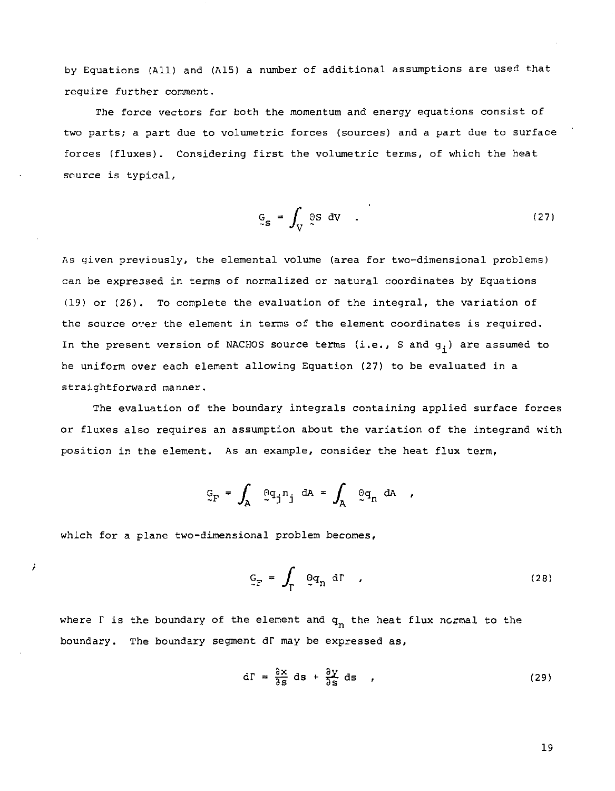by Equations (All) and (A15) a number of additional assumptions are used that require further comment.

The force vectors for both the momentum and energy equations consist of two parts; a part due to volumetric forces (sources) and a part due to surface forces (fluxes). Considering first the volumetric terms, of which the heat source is typical.

$$
G_{\rm s} = \int_{\rm V} \, \mathfrak{S} \, \mathrm{dV} \quad . \tag{27}
$$

As given previously, the elemental volume (area for two-dimensional problems) can be expressed in terms of normalized or natural coordinates by Equations (19) or (26). To complete the evaluation of the integral, the variation of the source over the element in terms of the element coordinates is required. In the present version of NACHOS source terms (i.e., S and  $g_i$ ) are assumed to be uniform over each element allowing Equation (27) to be evaluated in a straightforward manner.

The evaluation of the boundary integrals containing applied surface forces or fluxes also requires an assumption about the variation of the integrand with position in the element. As an example, consider the heat flux term,

$$
\mathcal{G}_F = \int_A \mathcal{Q}_g \mathcal{G}_j n_j \, dA = \int_A \mathcal{Q}_n \, dA \quad ,
$$

which for a plane two-dimensional problem becomes.

Ĵ.

$$
G_{\Gamma} = \int_{\Gamma} \Theta q_n \, d\Gamma \qquad (28)
$$

where  $\Gamma$  is the boundary of the element and  $q_n$  the heat flux normal to the boundary. The boundary segment dT may be expressed as,

$$
d\Gamma = \frac{\partial x}{\partial s} ds + \frac{\partial y}{\partial s} ds \qquad (29)
$$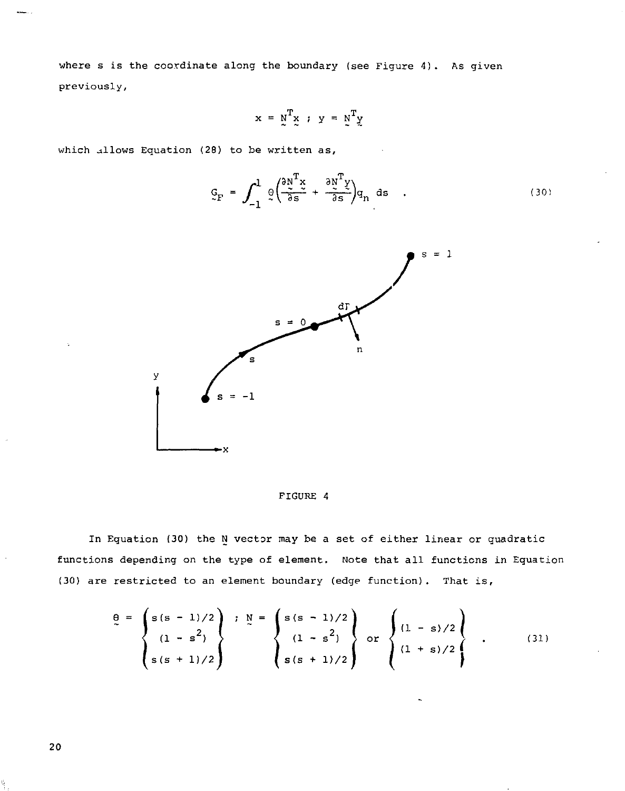where s is the coordinate along the boundary (see Figure 4). As given previously,

$$
x = \underset{\sim}{N}^T \underset{\sim}{x} \ ; \ y = \underset{\sim}{N}^T \underset{\sim}{y}
$$

which allows Equation (28) to be written as,

$$
G_F = \int_{-1}^{1} \varrho \left( \frac{\partial N^T x}{\partial s} + \frac{\partial N^T y}{\partial s} \right) q_n \, ds \quad . \tag{30}
$$



FIGURE 4

In Equation (30) the N vector may be a set of either linear or quadratic functions depending on the type of element. Note that all functions in Equation (30) are restricted to an element boundary (edge function). That is.

$$
\frac{\theta}{s} = \begin{cases}\ns(s-1)/2 \\
(1-s^2) \\
s(s+1)/2\n\end{cases}; \quad\n\frac{N}{s} = \begin{cases}\ns(s-1)/2 \\
(1-s^2) \\
s(s+1)/2\n\end{cases} \quad \text{or} \quad\n\begin{cases}\n(1-s)/2 \\
(1+s)/2 \\
(1+s)/2\n\end{cases} \quad . \tag{31}
$$

20

¢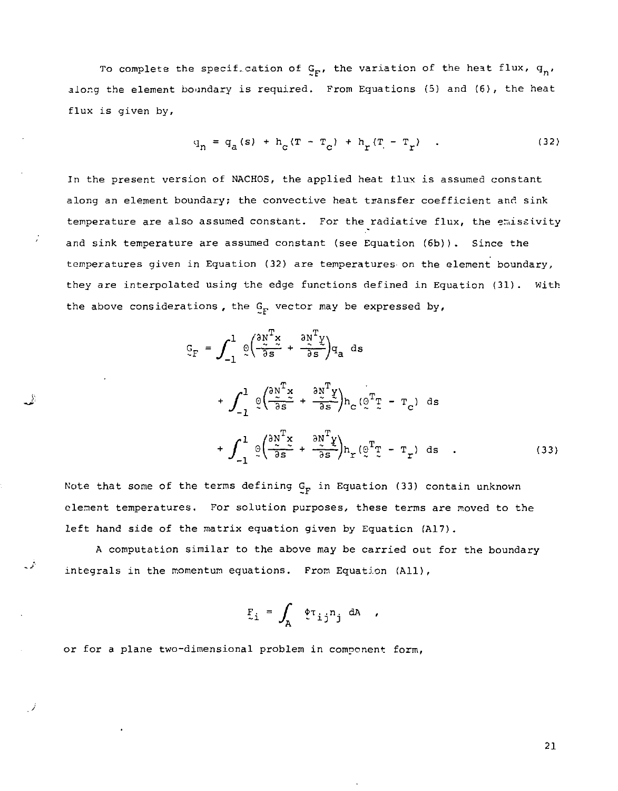To complete the specif.cation of  $G_F$ , the variation of the heat flux,  $q_n$ , along the element boundary is required. From Equations (5) and (6), the heat flux is given by,

$$
q_{n} = q_{a}(s) + h_{c}(T - T_{c}) + h_{r}(T - T_{r})
$$
 (32)

In the present version of NACHOS, the applied heat flux is assumed constant along an element boundary; the convective heat transfer coefficient and sink temperature are also assumed constant. For the radiative flux, the emissivity and sink temperature are assumed constant (see Equation (6b)). Since the temperatures given in Equation (32) are temperatures on the element boundary, they are interpolated using the edge functions defined in Equation (31) . With the above considerations, the  $G_F$  vector may be expressed by,

$$
C_{\Gamma} = \int_{-1}^{1} \varrho \left( \frac{\partial x^{\Gamma} x}{\partial s} + \frac{\partial x^{\Gamma} y}{\partial s} \right) q_{a} ds
$$
  
+ 
$$
\int_{-1}^{1} \varrho \left( \frac{\partial x^{\Gamma} x}{\partial s} + \frac{\partial x^{\Gamma} y}{\partial s} \right) h_{c} (\varrho^{\Gamma} T - T_{c}) ds
$$
  
+ 
$$
\int_{-1}^{1} \varrho \left( \frac{\partial x^{\Gamma} x}{\partial s} + \frac{\partial x^{\Gamma} y}{\partial s} \right) h_{r} (\varrho^{\Gamma} T - T_{r}) ds .
$$
 (33)

Note that some of the terms defining  $G_F$  in Equation (33) contain unknown element temperatures. For solution purposes, these terms are moved to the left hand side of the matrix equation given by Equation (A17).

A computation similar to the above may be carried out for the boundary integrals in the momentum equations. From Equation (All),

$$
F_{i} = \int_{A} \phi_{i,j} n_{j} \, dA \quad ,
$$

or for a plane two-dimensional problem in component form,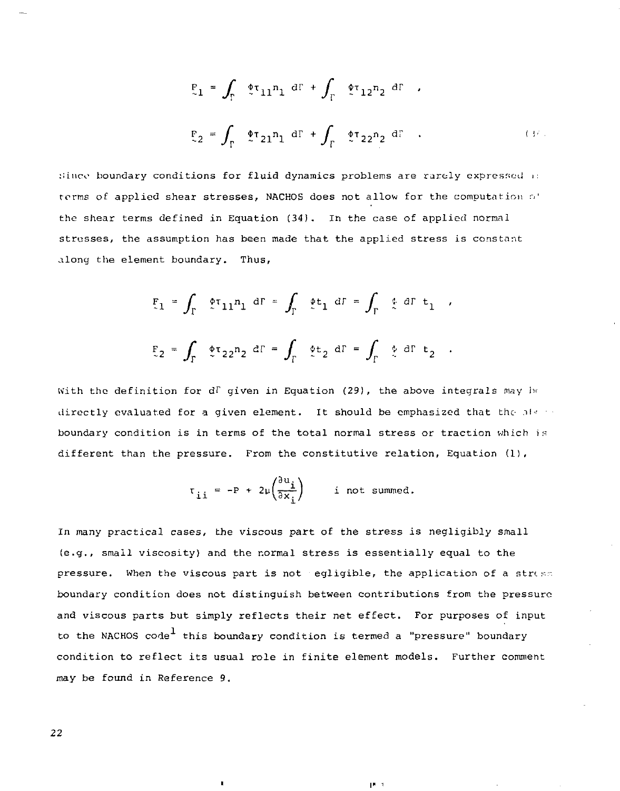$$
F_1 = \int_{\Gamma} \phi \tau_{11} n_1 d\Gamma + \int_{\Gamma} \phi \tau_{12} n_2 d\Gamma
$$
  

$$
F_2 = \int_{\Gamma} \phi \tau_{21} n_1 d\Gamma + \int_{\Gamma} \phi \tau_{22} n_2 d\Gamma
$$
 (3)

:;inco boundary conditions for fluid dynamics problems are rarely expressed .: terms of applied shear stresses, NACHOS does not allow for the computation of the shear terms defined in Equation (34). In the case of applied normal stresses, the assumption has been made that the applied stress is constant along the element boundary. Thus,

$$
F_1 = \int_{\Gamma} \phi \tau_{11} n_1 \, d\Gamma = \int_{\Gamma} \phi t_1 \, d\Gamma = \int_{\Gamma} \phi \, d\Gamma t_1 ,
$$
  

$$
F_2 = \int_{\Gamma} \phi \tau_{22} n_2 \, d\Gamma = \int_{\Gamma} \phi t_2 \, d\Gamma = \int_{\Gamma} \phi \, d\Gamma t_2 .
$$

With the definition for dI given in Equation (29), the above integrals may be directly evaluated for a given element. It should be emphasized that the  $\delta^{(n+1)}$ boundary condition is in terms of the total normal stress or traction *which* is different than the pressure. From the constitutive relation. Equation (1),

$$
\tau_{\underline{i}\,\underline{i}} = -P + 2\mu \left(\frac{\partial u_{\underline{i}}}{\partial x_{\underline{i}}}\right) \qquad \text{if not summed.}
$$

In many practical cases, the viscous part of the stress is negligibly small (e.g., small viscosity) and the normal stress is essentially equal to the pressure. When the viscous part is not egligible, the application of a stress boundary condition does not distinguish between contributions from the pressure and viscous parts but simply reflects their net effect. For purposes of input to the NACHOS code<sup>1</sup> this boundary condition is termed a "pressure" boundary condition to reflect its usual role in finite element models. Further comment may be found in Reference 9.

 $17 - 3$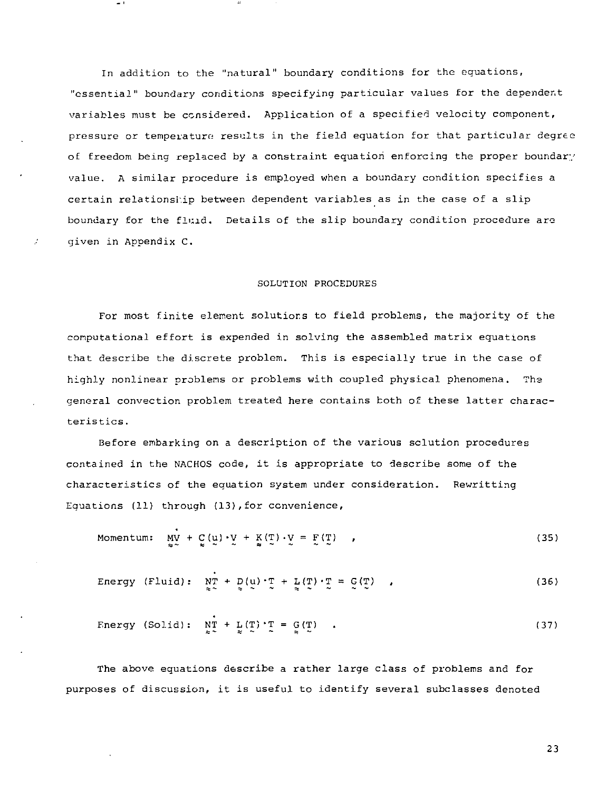In addition to the "natural" boundary conditions for the equations, "essential" boundary conditions specifying particular values for the dependent variables must be considered. Application of a specified velocity component, pressure or temperature results in the field equation for that particular degree of freedom being replaced by a constraint equation enforcing the proper boundary value. A similar procedure is employed when a boundary condition specifies a certain relationship between dependent variables as in the case of a slip boundary for the fluid. Details of the slip boundary condition procedure are given in Appendix C.

#### SOLUTION PROCEDURES

For most finite element solutions to field problems, the majority of the computational effort is expended in solving the assembled matrix equations that describe the discrete problem. This is especially true in the case of highly nonlinear problems or problems with coupled physical phenomena. The general convection problem treated here contains both of these latter characteristics.

Before embarking on a description of the various solution procedures contained in the NACHOS code, it is appropriate to describe some of the characteristics of the equation system under consideration. Rewritting Equations (11) through (13),for convenience,

*sa—* \* — — a — — — —

 $\lambda$ 

$$
Momentum: \quad \underline{M}V + C(\underline{u}) \cdot \underline{V} + K(\underline{T}) \cdot \underline{V} = F(\underline{T}) \quad , \tag{35}
$$

Energy (Fluid): 
$$
\mathbb{Y}^{\mathsf{T}}_{\mathsf{X}} + \mathbb{D}(\mathsf{u}) \cdot \mathbb{T} + \mathbb{L}(\mathbb{T}) \cdot \mathbb{T} = \mathbb{G}(\mathbb{T}) \quad ,
$$
 (36)

Energy (Solid): 
$$
\lim_{z \to 0} + \lim_{z \to 0} (\mathbf{T}) \cdot \mathbf{T} = \mathbf{G}(\mathbf{T})
$$
 (37)

The above eguations describe a rather large class of problems and for purposes of discussion, it is useful to identify several subclasses denoted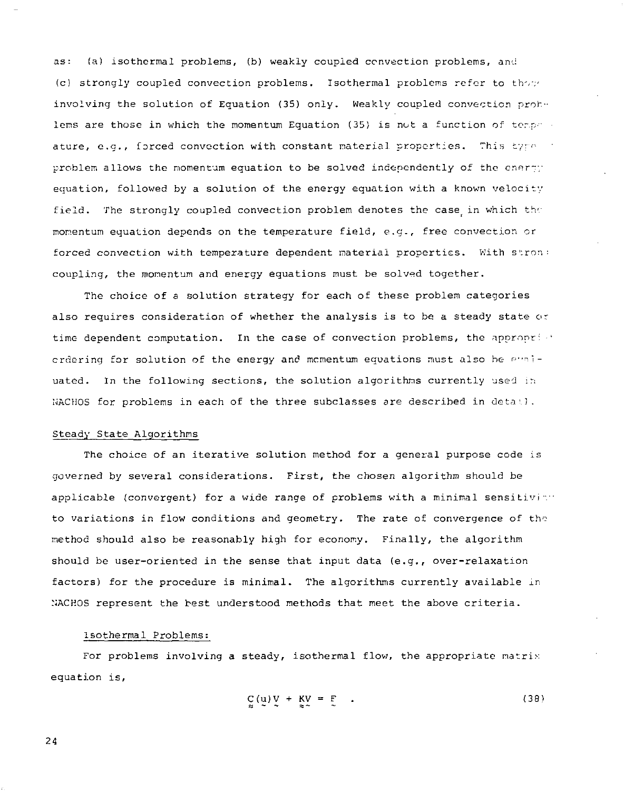as: (a) isothermal problems, (b) weakly coupled convection problems, and (c) strongly coupled convection problems. Isothermal problems refer to those involving the solution of Equation (35) only. Weakly coupled convection prohlems are those in which the momentum Equation (35) is not a function of terms  $\cdot$ ature, e.g., forced convection with constant material properties. This tyre in problem allows the momentum equation to be solved independently of the energy equation, followed by a solution of the energy equation with a known velocity field. The strongly coupled convection problem denotes the case in which *thr*  momentum equation depends on the temperature field, e.g., free convection or forced convection with temperature dependent material properties. With stron: coupling, the momentum and energy equations must be solved together.

The choice of a solution strategy for each of these problem categories also requires consideration of whether the analysis is to be a steady state or time dependent computation. In the case of convection problems, the appropri •' ordering for solution of the energy and momentum equations must also be p"niuated. In the following sections, the solution algorithms currently used in NACHOS for problems in each of the three subclasses are described in  $\text{det} \mathbf{d}$ .

#### Steady State Algorithms

The choice of an iterative solution method for a general purpose code is governed by several considerations. First, the chosen algorithm should be applicable (convergent) for a wide range of problems with a minimal sensitivity to variations in flow conditions and geometry. The rate of convergence of the method should also be reasonably high for economy. Finally, the algorithm should be user-oriented in the sense that input data (e.g., over-relaxation factors) for the procedure is minimal. The algorithms currently available in NACHOS represent the best understood methods that meet the above criteria.

# Isothermal Problems:

For problems involving a steady, isothermal flow, the appropriate matrix equation is,

$$
C(u)V + KV = F \t\t(38)
$$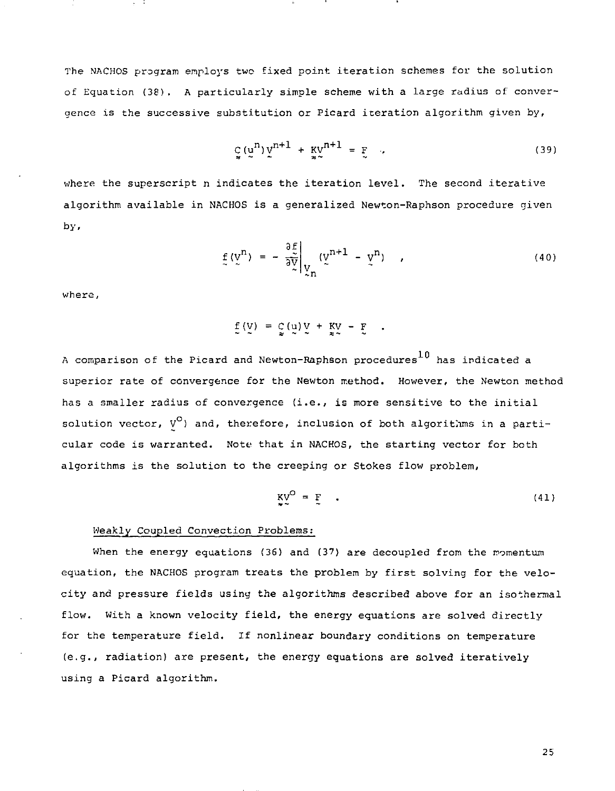The NACHOS program employs two fixed point iteration schemes for the solution of Equation (38). A particularly simple scheme with a large radius of convergence is the successive substitution or Picard iteration algorithm given by,

$$
\mathcal{L}_{\mathbf{x}}\left(\mathbf{u}^{n}\right)\mathbf{v}^{n+1} + \mathbf{K}\mathbf{v}^{n+1} = \mathbf{F} \tag{39}
$$

where the superscript n indicates the iteration level. The second iterative algorithm available in NACHOS is a generalized Newton-Raphson procedure given by.

$$
f(y^n) = -\frac{\partial f}{\partial y} \bigg|_{y_n} (y^{n+1} - y^n) \qquad (40)
$$

where,

$$
\underline{f}(V) = \underline{C}(U) V + \underline{K}V - \underline{F} \quad .
$$

A comparison of the Picard and Newton-Raphson procedures  $^{10}$  has indicated a superior rate of convergence for the Newton method. However, the Newton method has a smaller radius of convergence (i.e., is more sensitive to the initial solution vector,  $V^O$ ) and, therefore, inclusion of both algorithms in a particular code is warranted. Note that in NACHOS, the starting vector for both algorithms is the solution to the creeping or Stokes flow problem,

$$
KV^{\circ} = F \qquad (41)
$$

#### Weakly Coupled Convection Problems:

When the energy equations (36) and (37) are decoupled from the momentum equation, the NACHOS program treats the problem by first solving for the velocity and pressure fields using the algorithms described above for an isothermal flow. With a known velocity field, the energy equations are solved directly for the temperature field. If nonlinear boundary conditions on temperature (e.g., radiation) are present, the energy equations are solved iteratively using a Picard algorithm.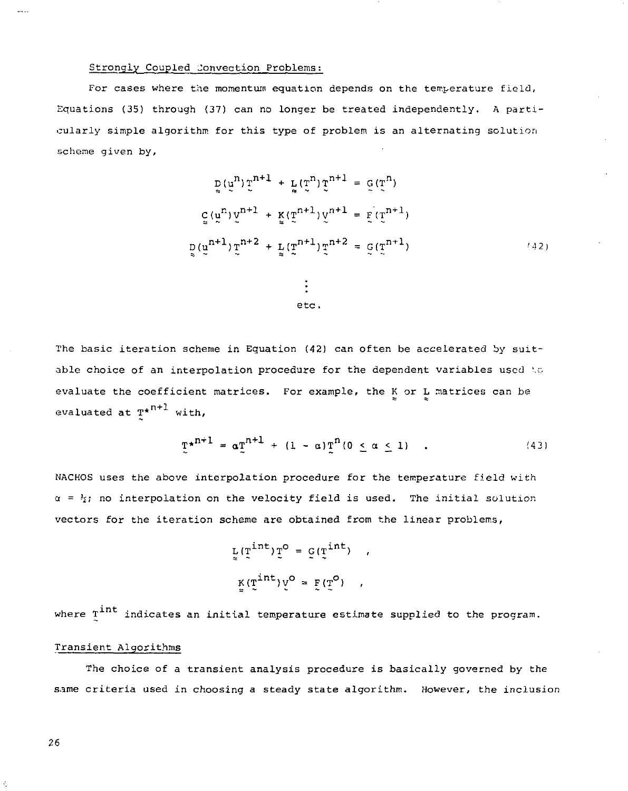# Strongly Coupled Jonvection Problems:

For cases where the momentum equation depends on the temperature field, Equations (35) through (37) can no longer be treated independently. A particularly simple algorithm for this type of problem is an alternating solution scheme given by,

$$
\rho(\mu^{n}) \Sigma^{n+1} + \frac{1}{2} (\Sigma^{n}) \Sigma^{n+1} = \frac{1}{2} (\Sigma^{n})
$$
  

$$
\frac{1}{2} (\mu^{n}) \Sigma^{n+1} + \frac{1}{2} (\Sigma^{n+1}) \Sigma^{n+1} = \frac{1}{2} (\Sigma^{n+1})
$$
  

$$
\frac{1}{2} (\mu^{n+1}) \Sigma^{n+2} + \frac{1}{2} (\Sigma^{n+1}) \Sigma^{n+2} = \frac{1}{2} (\Sigma^{n+1})
$$
 (42)

$$
\qquad \qquad \text{etc.}
$$

The basic iteration scheme in Eguation (42) can often be accelerated by suitable choice of an interpolation procedure for the dependent variables used to evaluate the coefficient matrices. For example, the K or L matrices can be evaluated at  $T^{\star n+1}$  with,

$$
\mathbb{I}^{\star^{n+1}} = \alpha \mathbb{I}^{n+1} + (1 - \alpha) \mathbb{I}^{n} (0 \leq \alpha \leq 1) \quad . \tag{43}
$$

NACHOS uses the above interpolation procedure for the temperature field with  $\alpha = h_i$ ; no interpolation on the velocity field is used. The initial solution vectors for the iteration scheme are obtained from the linear problems,

> $\mathbf{L}(\mathbf{T}^{\texttt{int}}) \mathbf{T}^{\texttt{O}} = \mathbf{G}(\mathbf{T}^{\texttt{int}}) \quad,$  $\mathbf{K}(\mathbf{T}^{\texttt{int}}) \mathbf{v}^{\texttt{O}} = \mathbf{F}(\mathbf{T}^{\texttt{O}}) \quad,$

where T<sup>int</sup> indicates an initial temperature estimate supplied to the program.

# Transient Algorithms

The choice of a transient analysis procedure is basically governed by the same criteria used in choosing a steady state algorithm. However, the inclusion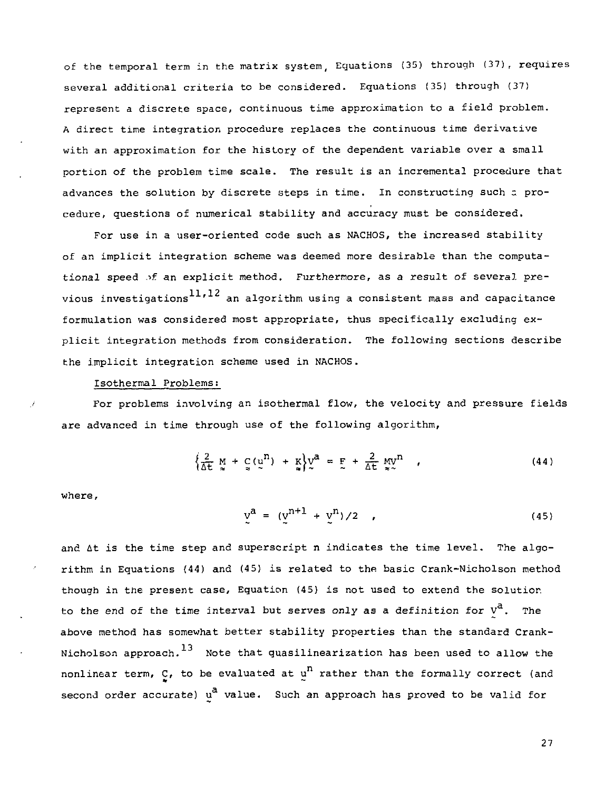of the temporal term in the matrix system, Equations (35) through (37), requires several additional criteria to be considered. Equations (35) through (37) represent a discrete space, continuous time approximation to a field problem. A direct time integration procedure replaces the continuous time derivative with an approximation for the history of the dependent variable over a small portion of the problem time scale. The result is an incremental procedure that advances the solution by discrete steps in time. In constructing such  $z$  procedure, questions of numerical stability and accuracy must be considered.

For use in a user-oriented code such as NACHOS, the increased stability of an implicit integration scheme was deemed more desirable than the computational speed of an explicit method. Furthermore, as a result of several previous investigations  $11,12$  an algorithm using a consistent mass and capacitance formulation was considered most appropriate, thus specifically excluding explicit integration methods from consideration. The following sections describe the implicit integration scheme used in NACHOS.

#### Isothermal Problems:

For problems involving an isothermal flow, the velocity and pressure fields are advanced in time through use of the following algorithm,

$$
\left\{\frac{2}{\Delta t} \underset{\approx}{M} + \underset{\approx}{C} \left(\underset{\approx}{u}^{n}\right) + \underset{\approx}{K}\right\} \underset{\sim}{V}^{a} = \underset{\approx}{E} + \frac{2}{\Delta t} \underset{\approx}{M} \underset{\approx}{V}^{n} \qquad (44)
$$

where,

$$
y^{a} = (y^{n+1} + y^{n})/2 \t (45)
$$

and At is the time step and superscript n indicates the time level. The algorithm in Equations (44) and (45) is related to the basic Crank-Nicholson method though in the present case, Equation (45) is not used to extend the solution to the end of the time interval but serves only as a definition for  $v^a$ . The above method has somewhat better stability properties than the standard Crank-Nicholson approach.  $^{13}$  Note that quasilinearization has been used to allow the nonlinear term,  $C$ , to be evaluated at  $u^n$  rather than the formally correct (and second order accurate) u<sup>a</sup> value. Such an approach has proved to be valid for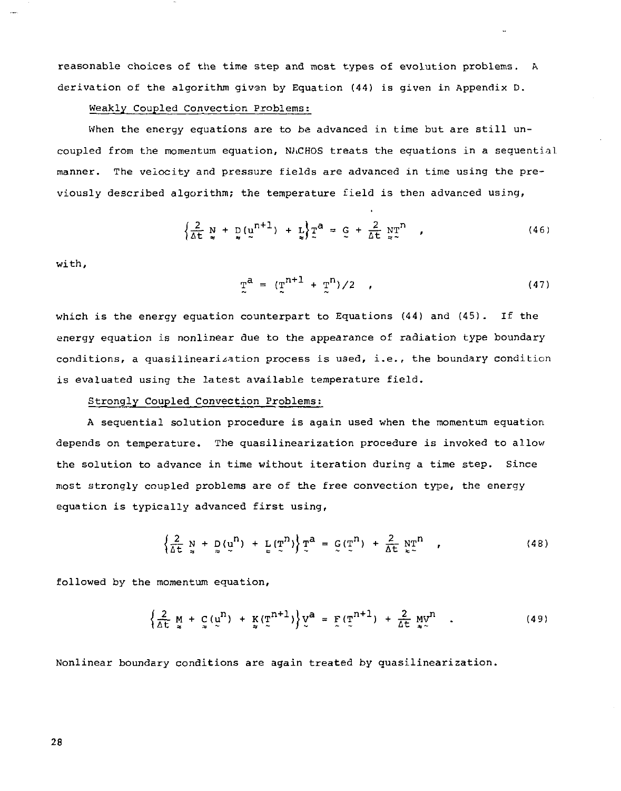reasonable choices of the time step and most types of evolution problems. A derivation of the algorithm given by Equation (44) is given in Appendix D.

#### Weakly Coupled Convection Problems:

When the energy equations are to be advanced in time but are still uncoupled from the momentum equation, NACHOS treats the equations in a sequential manner. The velocity and pressure fields are advanced in time using the previously described algorithm; the temperature field is then advanced using,

$$
\left\{\frac{2}{\Delta t} \sum_{n=1}^{N} \frac{1}{n} \left(\frac{n}{2}\right)^{n+1}\right\} + \frac{1}{N} \sum_{n=1}^{N} \frac{1}{n} \left(\frac{2}{\Delta t} \sum_{n=1}^{N} \frac{1}{n}\right)^{n}, \tag{46}
$$

with,

$$
T^{a} = (T^{n+1} + T^{n})/2 \qquad (47)
$$

which is the energy equation counterpart to Equations (44) and (45). If the energy equation is nonlinear due to the appearance of radiation type boundary conditions, a quasilinearization process is used, i.e., the boundary condition is evaluated using the latest available temperature field.

#### Strongly Coupled Convection Problems:

A sequential solution procedure is again used when the momentum equation depends on temperature. The quasilinearization procedure is invoked to allow the solution to advance in time without iteration during a time step. Since most strongly coupled problems are of the free convection type, the energy equation is typically advanced first using,

$$
\left\{\frac{2}{\Delta t} \underset{\approx}{N} + \underset{\approx}{D}(\underset{\approx}{U}^{n}) + \underset{\approx}{L}(\underset{\sim}{T}^{n})\right\} \underline{T}^{a} = \underline{G}(\underset{\sim}{T}^{n}) + \frac{2}{\Delta t} \underset{\sim}{N} \underline{T}^{n} \qquad (48)
$$

followed by the momentum equation,

$$
\left\{\frac{2}{\Delta t} \underset{\approx}{M} + \underset{\approx}{C} (\underset{\approx}{u}^{n}) + \underset{\approx}{K} (\underset{\approx}{T}^{n+1})\right\} \underset{\approx}{V}^{a} = \underset{\approx}{F} (\underset{\approx}{T}^{n+1}) + \frac{2}{\Delta t} \underset{\approx}{M} \underset{\approx}{V}^{n} \quad . \tag{49}
$$

Nonlinear boundary conditions are again treated by quasilinearization.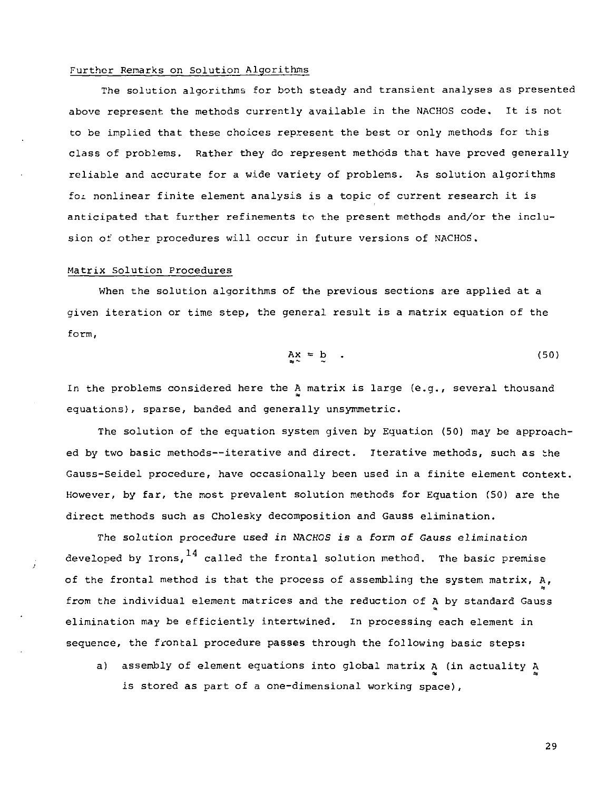# Further Remarks on Solution Algorithms

The solution algorithms for both steady and transient analyses as presented above represent the methods currently available in the NACHOS code. It is not to be implied that these choices represent the best or only methods for this class of problems. Rather they do represent methods that have proved generally reliable and accurate for a wide variety of problems. As solution algorithms foi nonlinear finite element analysis is a topic of current research it is anticipated that further refinements to the present methods and/or the inclusion of other procedures will occur in future versions of NACHOS.

### Matrix Solution Procedures

When the solution algorithms of the previous sections are applied at a given iteration or time step, the general result is a matrix equation of the form,

$$
Ax = b \tag{50}
$$

In the problems considered here the A matrix is large (e.g., several thousand equations), sparse, banded and generally unsymmetric.

The solution of the equation system given by Equation (50) may be approached by two basic methods—iterative and direct. Iterative methods, such as the Gauss-Seidel procedure, have occasionally been used in a finite element context. However, by far, the most prevalent solution methods for Equation (50) are the direct methods such as Cholesky decomposition and Gauss elimination.

The solution procedure used in NACHOS is a form of Gauss elimination developed by Irons,  $^{14}$  called the frontal solution method. The basic premise of the frontal method is that the process of assembling the system matrix, A, from the individual element matrices and the reduction of A by standard Gauss elimination may be efficiently intertwined. In processing each element in sequence, the frontal procedure passes through the following basic steps:

a) assembly of element equations into global matrix A (in actuality A *at* n is stored as part of a one-dimensional working space),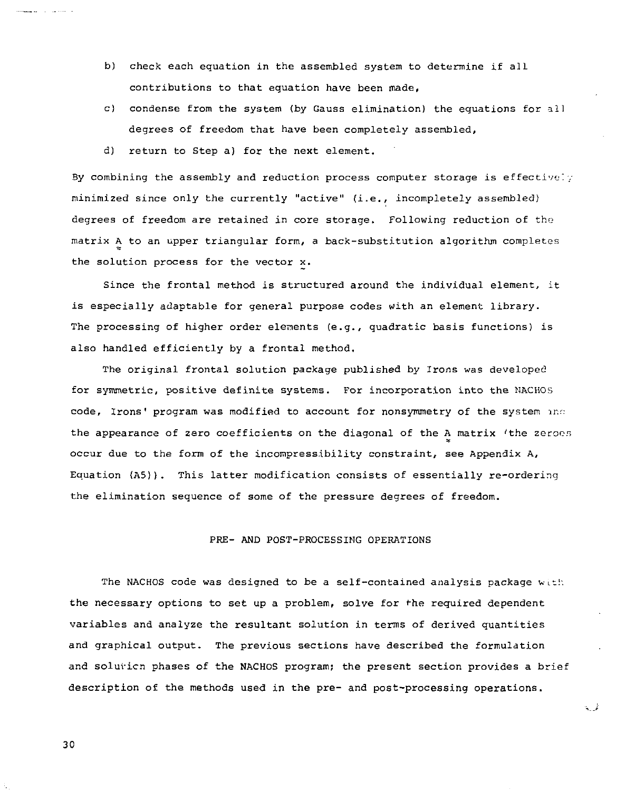- b) check each equation in the assembled system to determine if all contributions to that equation have been made,
- c) condense from the system (by Gauss elimination) the equations for all degrees of freedom that have been completely assembled,
- d) return to Step a) for the next element.

By combining the assembly and reduction process computer storage is effectively minimized since only the currently "active" (i.e., incompletely assembled) degrees of freedom are retained in core storage. Following reduction of the matrix A to an upper triangular form, a back-substitution algorithm completes the solution process for the vector x.

Since the frontal method is structured around the individual element, it is especially adaptable for general purpose codes with an element library. The processing of higher order elements (e.g., quadratic basis functions) is also handled efficiently by a frontal method.

The original frontal solution package published by Irons was developed for symmetric, positive definite systems. For incorporation into the NACHOS code, Irons' program was modified to account for nonsymmetry of the system and the appearance of zero coefficients on the diagonal of the A matrix 'the zeroes occur due to the form of the incompressibility constraint, see Appendix A, Equation (A5)). This latter modification consists of essentially re-ordering the elimination sequence of some of the pressure degrees of freedom.

# PRE- AND POST-PROCESSING OPERATIONS

The NACHOS code was designed to be a self-contained analysis package with the necessary options to set up a problem, solve for the required dependent variables and analyze the resultant solution in terms of derived quantities and graphical output. The previous sections have described the formulation and soluvicn phases of the NACHOS program; the present section provides a brief description of the methods used in the pre- and post-processing operations.

الحمدية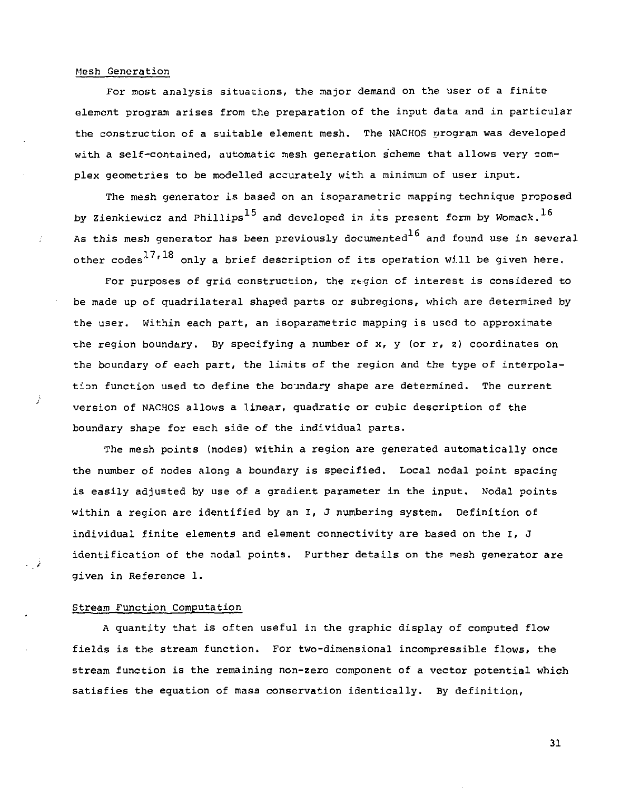#### Mesh Generation

ž

For most analysis situations, the major demand on the user of a finite element program arises from the preparation of the input data and in particular the construction of a suitable element mesh. The NACHOS program was developed with a self-contained, automatic mesh generation scheme that allows very complex geometries to be modelled accurately with a minimum of user input.

The mesh generator is based on an isoparametric mapping technique proposed by Zienkiewicz and Phillips<sup>15</sup> and developed in its present form by Womack.<sup>16</sup> As this mesh generator has been previously documented<sup>16</sup> and found use in several other codes<sup>17,18</sup> only a brief description of its operation will be given here.

For purposes of grid construction, the region of interest is considered to be made up of quadrilateral shaped parts or subregions, which are determined by the user. Within each part, an isoparametric mapping is used to approximate the region boundary. By specifying a number of  $x$ ,  $y$  (or  $r$ ,  $z$ ) coordinates on the boundary of each part, the limits of the region and the type of interpolation function used to define the boundary shape are determined. The current version of NACHOS allows a linear, quadratic or cubic description of the boundary shape for each side of the individual parts.

The mesh points (nodes) within a region are generated automatically once the number of nodes along a boundary is specified. Local nodal point spacing is easily adjusted by use of a gradient parameter in the input. Nodal points within a region are identified by an I, J numbering system. Definition of individual finite elements and element connectivity are based on the I, J identification of the nodal points. Further details on the mesh generator are given in Reference 1.

# Stream Function Computation

A quantity that is often useful in the graphic display of computed flow fields is the stream function. For two-dimensional incompressible flows, the stream function is the remaining non-zero component of a vector potential which satisfies the equation of mass conservation identically. By definition.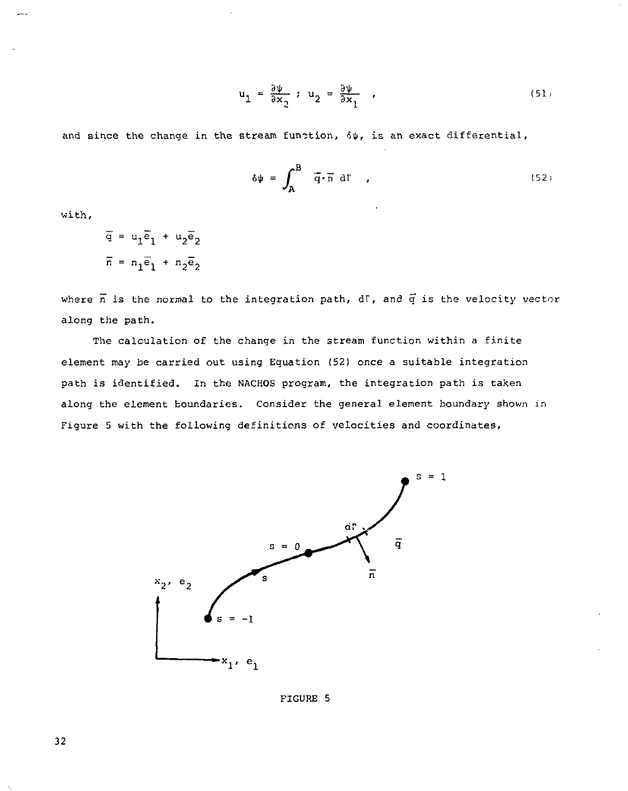$$
u_1 = \frac{\partial \psi}{\partial x_1} \; ; \; u_2 = \frac{\partial \psi}{\partial x_1} \quad , \tag{51}
$$

and since the change in the stream function,  $\delta\psi$ , is an exact differential,

$$
\delta \psi = \int_{\mathbf{A}}^{\mathbf{B}} \tilde{q} \cdot \tilde{n} \text{ d} \Gamma , \qquad (52)
$$

with,

$$
\overline{q} = u_1 \overline{e}_1 + u_2 \overline{e}_2
$$

$$
\overline{n} = n_1 \overline{e}_1 + n_2 \overline{e}_2
$$

where  $\overline{n}$  is the normal to the integration path, dF, and  $\overline{q}$  is the velocity vector along the path.

The calculation of the change in the stream function within a finite element may be carried out using Equation (52) once a suitable integration path is identified. In the NACHOS program, the integration path is taken along the element boundaries. Consider the general element boundary shown in Figure 5 with the following definitions of velocities and coordinates,



FIGURE 5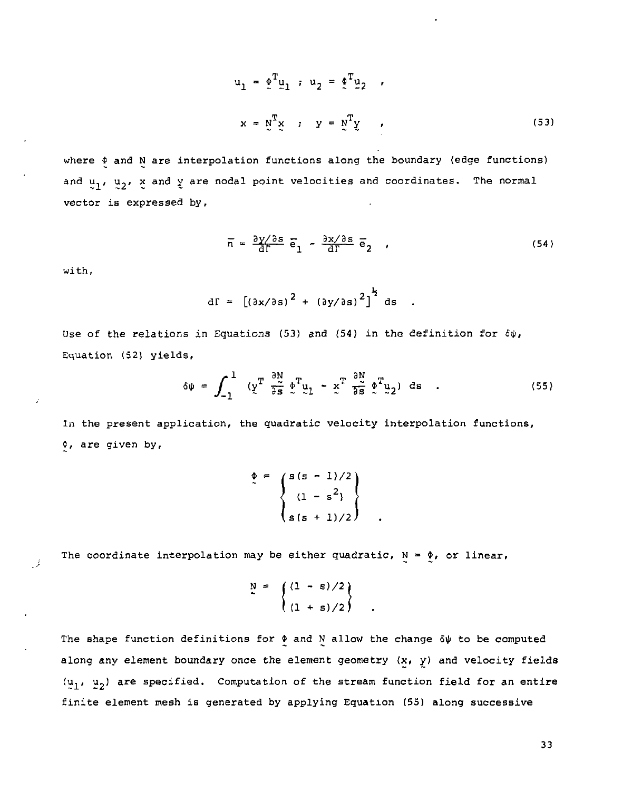$$
u_1 = \phi^T u_1, u_2 = \phi^T u_2,
$$
  

$$
x = \phi^T x, y = \phi^T y,
$$
 (53)

where  $\phi$  and N are interpolation functions along the boundary (edge functions) and  $u_1$ ,  $u_2$ , x and y are nodal point velocities and coordinates. The normal vector is expressed by,

$$
\overline{n} = \frac{\partial y / \partial s}{\partial \Gamma} \overline{e}_1 - \frac{\partial x / \partial s}{\partial \Gamma} \overline{e}_2 ,
$$
 (54)

with,

 $\mathcal{I}$ 

$$
df = \left[ \left( \frac{\partial x}{\partial s} \right)^2 + \left( \frac{\partial y}{\partial s} \right)^2 \right]^{\frac{1}{2}} ds.
$$

Use of the relations in Equations (53) and (54) in the definition for  $\delta\psi$ , Equation (52) yields,

$$
\delta \psi = \int_{-1}^{1} \left( y^T \frac{\partial N}{\partial s} \phi^T u_1 - x^T \frac{\partial N}{\partial s} \phi^T u_2 \right) ds . \qquad (55)
$$

In the present application, the quadratic velocity interpolation functions, *i,* are given by,

$$
\oint_C = \begin{cases}\ns(s - 1)/2 \\
(1 - s^2) \\
s(s + 1)/2\n\end{cases}
$$

The coordinate interpolation may be either quadratic,  $N = \phi$ , or linear,

$$
\sum_{0}^{N} = \left\{ \frac{(1 - s)/2}{(1 + s)/2} \right\}
$$

The shape function definitions for  $\phi$  and N allow the change  $\delta\psi$  to be computed along any element boundary once the element geometry  $(x, y)$  and velocity fields  $(u_1, u_2)$  are specified. Computation of the stream function field for an entire finite element mesh is generated by applying Equation (55) along successive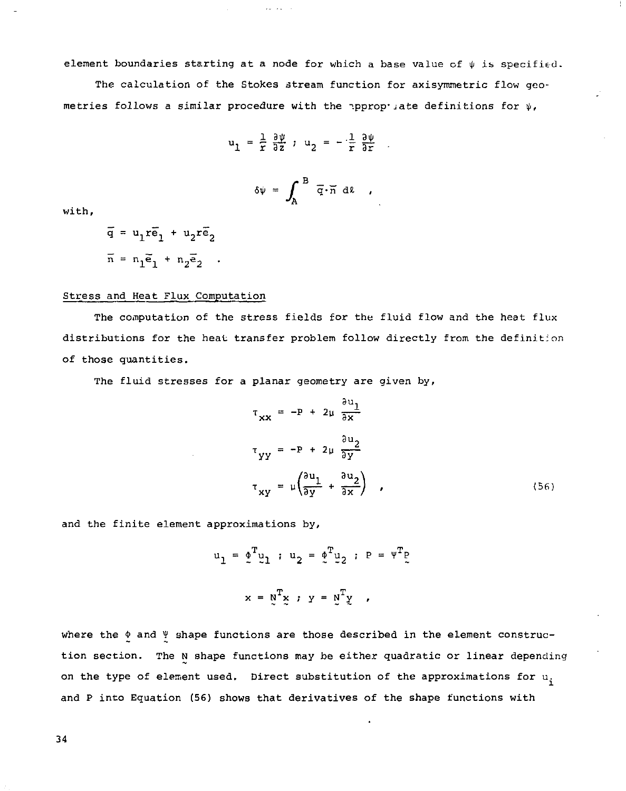element boundaries starting at a node for which a base value of  $\psi$  is specified.

The calculation of the Stokes stream function for axisymmetric flow geometries follows a similar procedure with the appropy jate definitions for  $\psi$ ,

$$
u_1 = \frac{1}{r} \frac{\partial \psi}{\partial z}
$$
;  $u_2 = -\frac{1}{r} \frac{\partial \psi}{\partial r}$ 

$$
\delta \psi = \int_A^B \overline{q} \cdot \overline{n} d\ell ,
$$

with,

$$
\overline{q} = u_1 r \overline{e}_1 + u_2 r \overline{e}_2
$$

$$
\overline{n} = n_1 \overline{e}_1 + n_2 \overline{e}_2
$$

### Stress and Heat Flux Computation

The computation of the stress fields for the fluid flow and the heat flux distributions for the heat transfer problem follow directly from the definition of those quantities.

The fluid stresses for a planar geometry are given by,

$$
\tau_{xx} = -P + 2\mu \frac{\partial u_1}{\partial x}
$$
  
\n
$$
\tau_{yy} = -P + 2\mu \frac{\partial u_2}{\partial y}
$$
  
\n
$$
\tau_{xy} = \mu \left( \frac{\partial u_1}{\partial y} + \frac{\partial u_2}{\partial x} \right)
$$
 (56)

and the finite element approximations by.

$$
u_1 = \phi^T u_1 : u_2 = \phi^T u_2 : P = \psi^T p
$$
  

$$
x = \phi^T x : y = \phi^T y
$$

where the  $\phi$  and  $\Psi$  shape functions are those described in the element construction section. The N shape functions may be either quadratic or linear depending on the type of element used. Direct substitution of the approximations for  $u_i$ and P into Equation (56) shows that derivatives of the shape functions with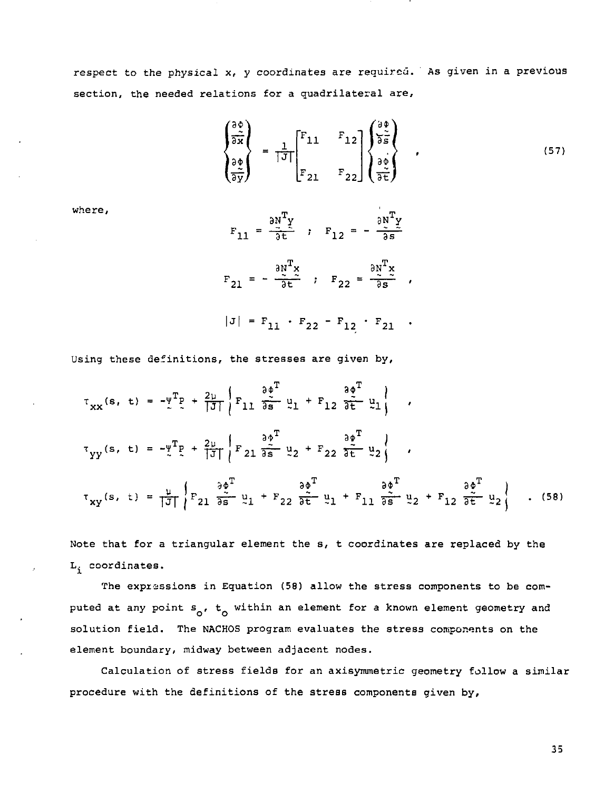respect to the physical x, y coordinates are required. As given in a previous section, the needed relations for a quadrilateral are,

$$
\begin{pmatrix}\n\frac{\partial \phi}{\partial x} \\
\frac{\partial \phi}{\partial y}\n\end{pmatrix} = \frac{1}{|\mathcal{J}|} \begin{bmatrix} F_{11} & F_{12} \\
F_{21} & F_{22}\n\end{bmatrix} \begin{pmatrix}\n\frac{\partial \phi}{\partial s} \\
\frac{\partial \phi}{\partial t}\n\end{pmatrix} ,
$$
\n(57)

where,

$$
F_{11} = \frac{\partial N^T Y}{\partial t}, \quad F_{12} = -\frac{\partial N^T Y}{\partial s}
$$

$$
F_{21} = -\frac{\partial N^T x}{\partial t}, \quad F_{22} = \frac{\partial N^T x}{\partial s},
$$

$$
|J| = F_{11} \cdot F_{22} - F_{12} \cdot F_{21} \cdot
$$

Using these definitions, the stresses are given by,

$$
\tau_{XX}(s, t) = -\frac{\nu}{2} \left[ P_{11} \frac{\partial \phi^T}{\partial s} u_1 + F_{12} \frac{\partial \phi^T}{\partial t} u_1 \right],
$$
  
\n
$$
\tau_{YY}(s, t) = -\frac{\nu}{2} \left[ P_{21} \frac{\partial \phi^T}{\partial s} u_2 + F_{22} \frac{\partial \phi^T}{\partial t} u_2 \right],
$$
  
\n
$$
\tau_{XY}(s, t) = \frac{\mu}{|\mathcal{J}|} \left\{ P_{21} \frac{\partial \phi^T}{\partial s} u_1 + F_{22} \frac{\partial \phi^T}{\partial t} u_1 + F_{11} \frac{\partial \phi^T}{\partial s} u_2 + F_{12} \frac{\partial \phi^T}{\partial t} u_2 \right\}.
$$
  
\n(58)

Note that for a triangular element the s, t coordinates are replaced by the L. coordinates.

The expressions in Equation (58) allow the stress components to be computed at any point  $s_{0}$ ,  $t_{0}$  within an element for a known element geometry and solution field. The NACHOS program evaluates the stress components on the element boundary, midway between adjacent nodes.

Calculation of stress fields for an axisymmetric geometry follow a similar procedure with the definitions of the stress components given by,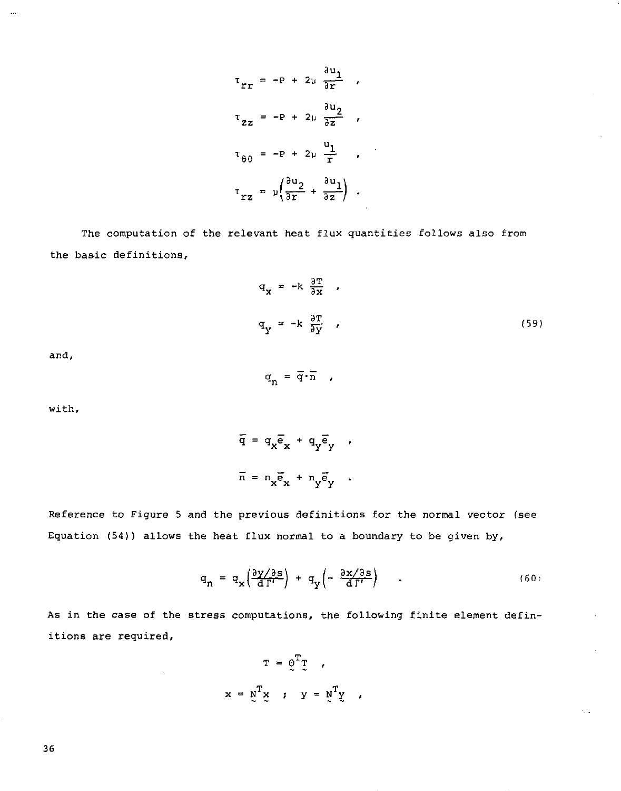$$
\tau_{rr} = -P + 2\mu \frac{\partial u_1}{\partial r} ,
$$
  
\n
$$
\tau_{zz} = -P + 2\mu \frac{\partial u_2}{\partial z} ,
$$
  
\n
$$
\tau_{\theta\theta} = -P + 2\mu \frac{u_1}{r} ,
$$
  
\n
$$
\tau_{rz} = \mu \left( \frac{\partial u_2}{\partial r} + \frac{\partial u_1}{\partial z} \right) .
$$

The computation of the relevant heat flux quantities follows also from the basic definitions,

 $\overline{a}$ 

$$
q_{x} = -k \frac{\partial T}{\partial x} ,
$$
  
(59)

and,

 $q_n = \overline{q} \cdot \overline{n}$ ,

with,

$$
\overline{q} = q_x \overline{e}_x + q_y \overline{e}_y ,
$$

$$
\overline{n} = n_x \overline{e}_x + n_y \overline{e}_y .
$$

Reference to Figure 5 and the previous definitions for the normal vector (see Equation (54)) allows the heat flux normal to a boundary to be given by,

$$
q_n = q_x \left( \frac{\partial y / \partial s}{\partial \Gamma'} \right) + q_y \left( - \frac{\partial x / \partial s}{\partial \Gamma'} \right) \quad . \tag{60}
$$

As in the case of the stress computations, the following finite element definitions are required,

> $\mathbf{T} = \mathbf{Q}^{\mathrm{T}} \mathbf{T} \quad ,$  $T_v$ ,  $v = v^T_v$  $x = x \cdot y \cdot x + y \cdot y$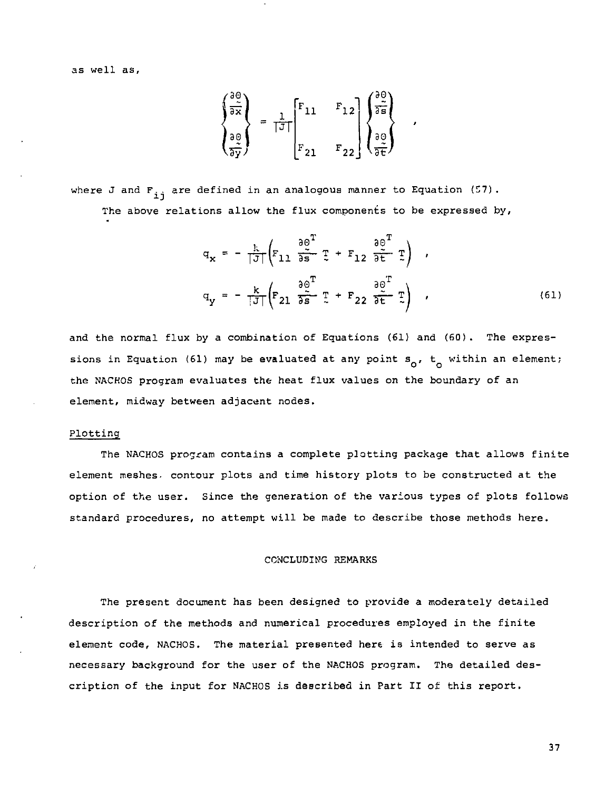as well as.

$$
\begin{pmatrix}\n\frac{\partial \phi}{\partial x} \\
\frac{\partial \phi}{\partial y} \\
\frac{\partial \phi}{\partial y}\n\end{pmatrix} = \frac{1}{|J|} \begin{bmatrix}\nF_{11} & F_{12} \\
F_{21} & F_{22}\n\end{bmatrix} \begin{pmatrix}\n\frac{\partial \phi}{\partial s} \\
\frac{\partial \phi}{\partial t} \\
\frac{\partial \phi}{\partial t}\n\end{pmatrix}
$$

where J and  $F_{i,j}$  are defined in an analogous manner to Equation (57). The above relations allow the flux components to be expressed by,

$$
q_{x} = -\frac{k}{|J|} \left( F_{11} \frac{\partial \theta^{T}}{\partial s} \mathbb{I} + F_{12} \frac{\partial \theta^{T}}{\partial t} \mathbb{I} \right) ,
$$
  

$$
q_{y} = -\frac{k}{|J|} \left( F_{21} \frac{\partial \theta^{T}}{\partial s} \mathbb{I} + F_{22} \frac{\partial \theta^{T}}{\partial t} \mathbb{I} \right) ,
$$
 (61)

and the normal flux by a combination of Equations (61) and (60). The expressions in Equation (61) may be evaluated at any point  $s_0$ ,  $t_0$  within an element; the NACHOS program evaluates the heat flux values on the boundary of an element, midway between adjacent nodes.

#### Plotting

The NACHOS program contains a complete plotting package that allows finite element meshes, contour plots and time history plots to be constructed at the option of the user. Since the generation of the various types of plots follows standard procedures, no attempt will be made to describe those methods here.

#### CONCLUDING REMARKS

The present document has been designed to provide a moderately detailed description of the methods and numerical procedures employed in the finite element code, NACHOS. The material presented here is intended to serve as necessary background for the user of the NACHOS program. The detailed description of the input for NACHOS is described in Part II o£ this report.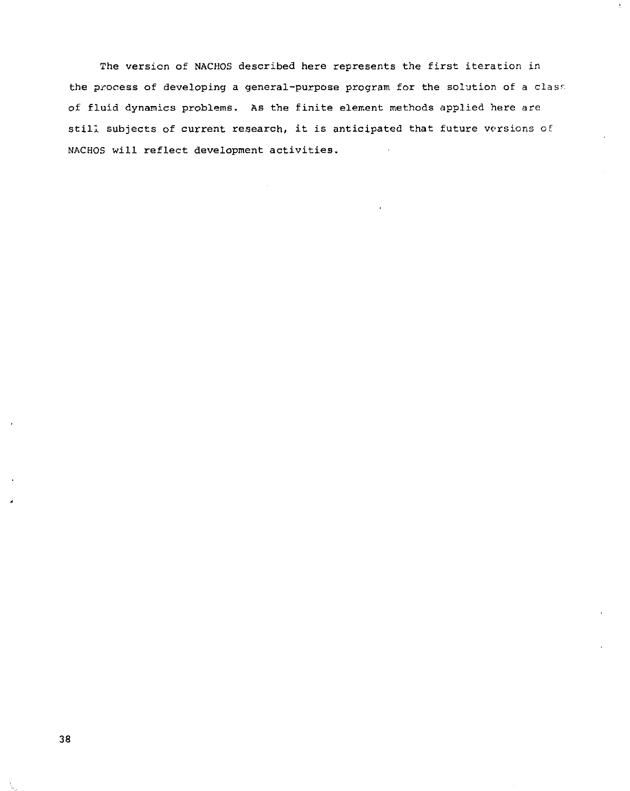The version of NACHOS described here represents the first iteration in the process of developing a general-purpose program for the solution of a clasr, of fluid dynamics problems. As the finite element methods applied here are still subjects of current research, it is anticipated that future versions of NACHOS will reflect development activities.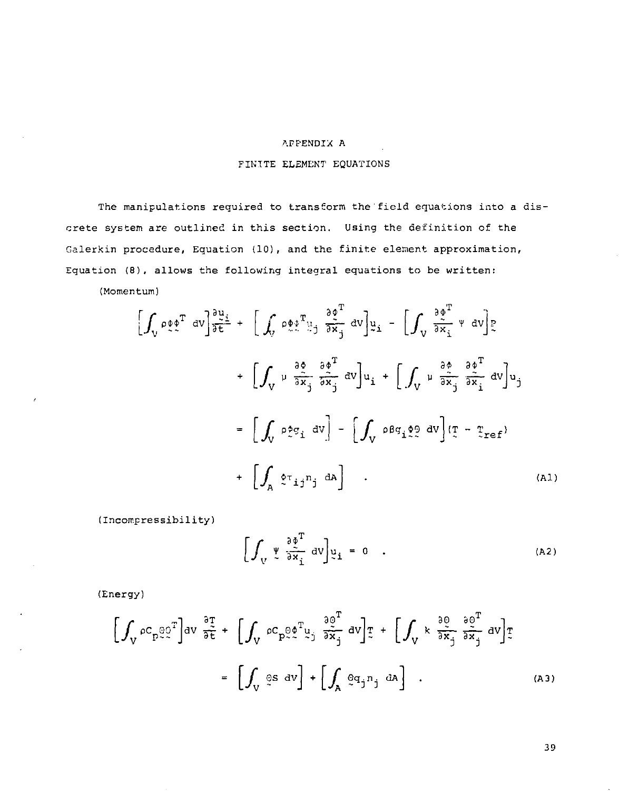#### AFPENDIX A

# FINITE ELEMENT EQUATIONS

The manipulations required to transform the field equations into a discrete system are outlined in this section. Using the definition of the Galerkin procedure, Equation (10), and the finite element approximation, Equation (8), allows the following integral equations to be written:

(Momentum)

$$
\left[\int_{V} \rho \phi \phi^{T} dv\right] \frac{\partial u_{\perp}}{\partial t} + \left[\int_{V} \rho \phi \phi^{T} u_{\perp} \frac{\partial \phi^{T}}{\partial x_{j}} dv\right] u_{\perp} - \left[\int_{V} \frac{\partial \phi^{T}}{\partial x_{i}} v dv\right] u_{\perp}
$$
\n
$$
+ \left[\int_{V} \mu \frac{\partial \phi}{\partial x_{j}} \frac{\partial \phi^{T}}{\partial x_{j}} dv\right] u_{\perp} + \left[\int_{V} \mu \frac{\partial \phi}{\partial x_{j}} \frac{\partial \phi^{T}}{\partial x_{i}} dv\right] u_{\perp}
$$
\n
$$
= \left[\int_{V} \rho \phi_{\perp} \phi_{\perp} dv\right] - \left[\int_{V} \rho \phi_{\perp} \phi_{\perp} \phi_{\perp} dv\right] \left(\frac{\phi_{\perp}}{\phi_{\perp}} - \frac{\phi_{\perp}}{\phi_{\perp}}\right] u_{\perp}
$$
\n
$$
+ \left[\int_{A} \phi_{\perp} \phi_{\perp} dv\right] - \left[\int_{V} \rho \phi_{\perp} \phi_{\perp} \phi_{\perp} dv\right] \left(\frac{\phi_{\perp}}{\phi_{\perp}} - \frac{\phi_{\perp}}{\phi_{\perp}}\right] u_{\perp}
$$
\n
$$
(A1)
$$

(Incomeressibility)

$$
\left[\int_{V} \Psi \frac{\partial \Phi}{\partial x_{i}}^{T} dV \right] \Psi_{i} = 0 \quad . \tag{A2}
$$

(Energy)

$$
\left[\int_{V} \rho C_{p} \Omega \Omega^{T} \right] dV \frac{\partial T}{\partial \tilde{t}} + \left[\int_{V} \rho C_{p} \Omega \Omega^{T} \Omega_{j} \frac{\partial Q^{T}}{\partial x_{j}} dV \right] T + \left[\int_{V} k \frac{\partial Q}{\partial x_{j}} \frac{\partial Q^{T}}{\partial x_{j}} dV \right] T
$$
\n
$$
= \left[\int_{V} \Omega \Omega dV \right] + \left[\int_{A} \Omega \Omega_{j} \Omega_{j} dV \right] . \tag{A3}
$$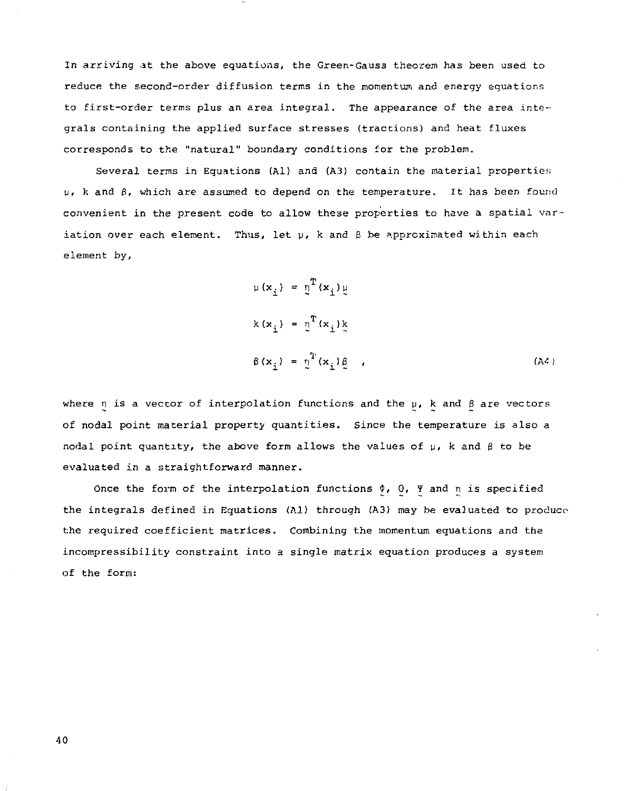In arriving at the above equations, the Green-Gauss theorem has been used to reduce the second-order diffusion terms in the momentum and energy equations to first-order terms plus an area integral. The appearance of the area integrals containing the applied surface stresses (tractions) and heat fluxes corresponds to the "natural" boundary conditions for the problem.

Several terms in Eguations (Al) and (A3) contain the material properties u, k and  $\beta$ , which are assumed to depend on the temperature. It has been found convenient in the present code to allow these properties to have a spatial variation over each element. Thus, let  $y$ , k and  $\beta$  be approximated within each element by,

$$
\mu(x_i) = \underline{\eta}^T(x_i) \underline{\mu}
$$
  
\n
$$
k(x_i) = \underline{\eta}^T(x_i) \underline{k}
$$
  
\n
$$
\beta(x_i) = \underline{\eta}^T(x_i) \underline{\beta}
$$
 (A4)

where  $\eta$  is a vector of interpolation functions and the  $\mu$ , k and  $\beta$  are vectors of nodal point material property quantities. Since the temperature is also a nodal point quantity, the above form allows the values of  $\mu$ , k and  $\beta$  to be evaluated in a straightforward manner.

Once the form of the interpolation functions  $\phi$ ,  $\theta$ ,  $\theta$  and  $\eta$  is specified the integrals defined in Equations (Al) through (A3) may be evaluated to produce the required coefficient matrices. Combining the momentum equations and the incompressibility constraint into a single matrix equation produces a system of the form: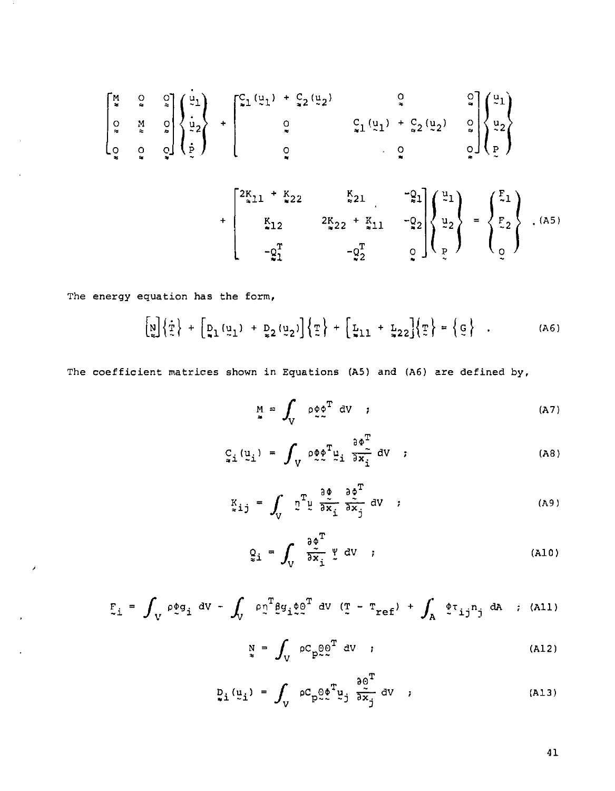$$
\begin{bmatrix} \frac{M}{2} & 0 & 0 \\ 0 & \frac{M}{2} & 0 \\ 0 & 0 & 0 \end{bmatrix} \begin{bmatrix} \frac{u}{2} \\ \frac{u}{2} \\ \frac{v}{2} \end{bmatrix} + \begin{bmatrix} c_1 (\frac{u}{2}1) + c_2 (\frac{u}{2}) & 0 & 0 \\ 0 & c_1 (\frac{u}{2}1) + c_2 (\frac{u}{2}) & 0 \\ 0 & 0 & 0 \end{bmatrix} \begin{bmatrix} \frac{u}{2} \\ \frac{u}{2} \\ \frac{v}{2} \end{bmatrix}
$$

$$
+ \begin{bmatrix} 2K_{11} + K_{22} & K_{21} & -21 \\ K_{12} & 2K_{22} + K_{11} & -22 \\ -\frac{c_1}{21} & -\frac{c_2}{2} & 0 \end{bmatrix} \begin{bmatrix} \frac{u}{2} \\ \frac{u}{2} \\ \frac{u}{2} \end{bmatrix} = \begin{Bmatrix} F_1 \\ F_2 \\ 0 \end{Bmatrix} . (A5)
$$

The energy equation has the form,

 $\lambda$ 

 $\epsilon$ 

$$
\begin{bmatrix} \mathbf{u} \\ \mathbf{v} \end{bmatrix} \left\{ \frac{\dot{\mathbf{v}}}{\dot{\mathbf{v}}} \right\} + \begin{bmatrix} \mathbf{v}_1(\mathbf{u}_1) + \mathbf{v}_2(\mathbf{u}_2) \\ \mathbf{v}_1(\mathbf{u}_2) \end{bmatrix} \left\{ \frac{\dot{\mathbf{v}}}{\dot{\mathbf{v}}} \right\} + \begin{bmatrix} \mathbf{v}_{11} + \mathbf{v}_{22} \\ \mathbf{v}_{11} + \mathbf{v}_{22} \end{bmatrix} \left\{ \frac{\dot{\mathbf{v}}}{\dot{\mathbf{v}}} \right\} = \left\{ \frac{\dot{\mathbf{v}}}{\dot{\mathbf{v}}} \right\}.
$$
 (A6)

The coefficient matrices shown in Equations (A5) and (A6) are defined by,

$$
M = \int_{V} \rho \phi \phi^{T} dV
$$
 (A7)

$$
C_{\bullet i} (u_i) = \int_V \rho \phi \phi^T u_i \frac{\partial \phi^T}{\partial x_i} \, dV \quad ; \tag{A8}
$$

$$
K_{ij} = \int_{V} \tilde{L}^{T} \tilde{L} \frac{\partial \varphi}{\partial x_{i}} \frac{\partial \varphi}{\partial x_{j}} dV
$$
 (A9)

$$
Q_i = \int_V \frac{\partial \phi^T}{\partial x_i} \psi \, dV \quad ; \tag{A10}
$$

$$
F_{\perp} = \int_{V} \rho \phi g_{i} dv - \int_{V} \rho_{2}^{T} \hat{g} g_{i} \phi_{2}^{T} dv (T - T_{ref}) + \int_{A} \hat{\phi} T_{ij} n_{j} dA ; (AL)
$$

$$
N = \int_{V} \rho C_{p} \Theta_{c}^{0} \sigma^{T} \, dV \qquad (A12)
$$

$$
p_i(\underline{u}_i) = \int_V \rho C_p \rho e^T \underline{v}_j \frac{\partial e^T}{\partial \dot{x}_j} dv ; \qquad (A13)
$$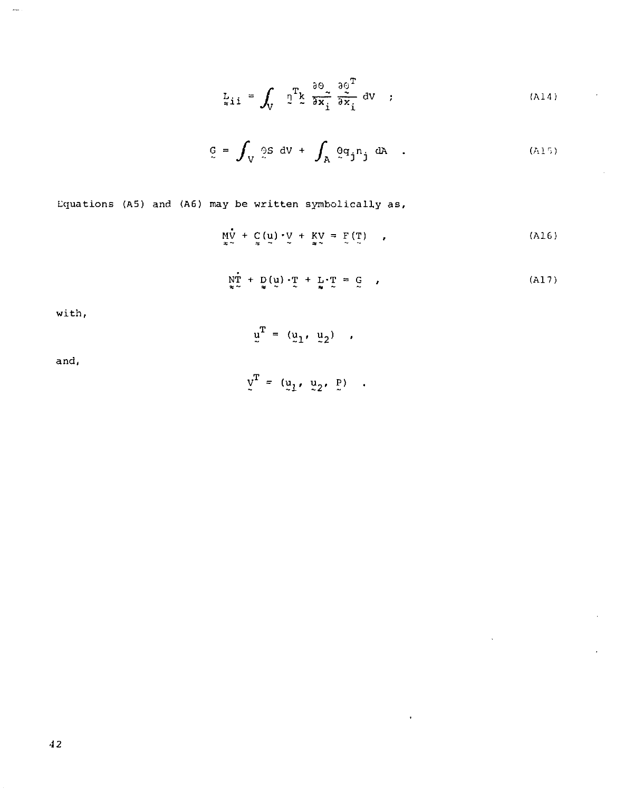$$
L_{\tilde{x}1\tilde{1}} = \int_{V} \mathbb{T}^{T} \xi \frac{\partial \Theta}{\partial x_{\tilde{1}}} \frac{\partial \Theta}{\partial x_{\tilde{1}}}^{T} dv ; \qquad (A14)
$$

$$
\mathbf{G} = \int_{\mathbf{V}} \mathbf{G} \mathbf{S} \, \mathbf{d} \mathbf{V} + \int_{\mathbf{A}} \mathbf{G} \mathbf{q}_j \mathbf{n}_j \, \mathbf{d} \mathbf{A} \quad . \tag{A15}
$$

Lquations (A5) and (A6) may be written symbolically as,

$$
\mathop{\rm M}_{\infty} \mathbf{v} + \mathop{\rm C}_{\infty} (\mathbf{u}) \cdot \mathbf{v} + \mathop{\rm K}_{\infty} \mathbf{v} = \mathop{\rm F}_{\infty} (\mathop{\rm T}_{\infty}) \qquad , \tag{A16}
$$

$$
\mathbf{NT} + \mathbf{D}(\mathbf{u}) \cdot \mathbf{T} + \mathbf{L} \cdot \mathbf{T} = \mathbf{G} \tag{A17}
$$

 $\ddot{\phantom{1}}$ 

l,

with,

 $\overline{\phantom{a}}$ 

$$
\mathbf{u}^{\mathrm{T}} = (\mathbf{u}_1, \mathbf{u}_2) ,
$$

and,

$$
\underline{v}^T = (\underline{u}_1, \underline{u}_2, \underline{P}) \quad .
$$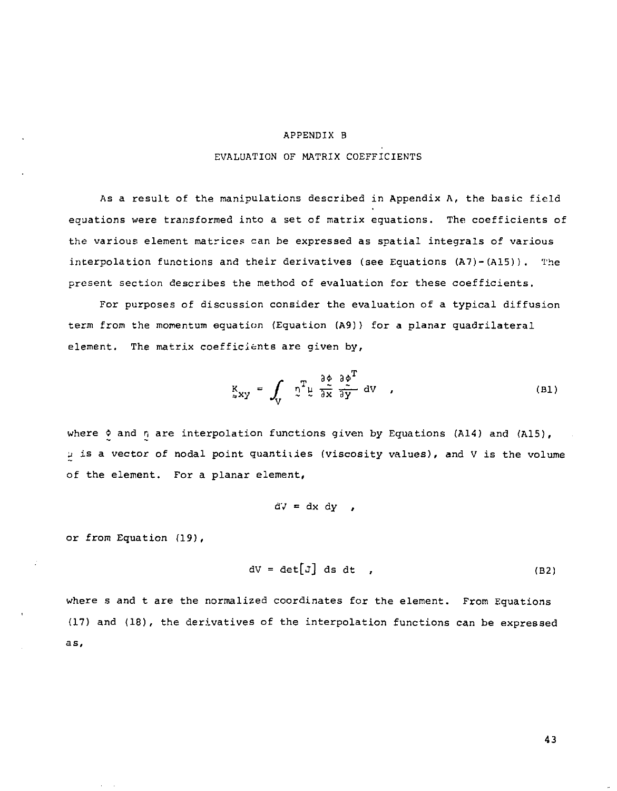#### APPENDIX B

#### EVALUATION OF MATRIX COEFFICIENTS

As a result of the manipulations described in Appendix  $\Lambda$ , the basic field equations were transformed into a set of matrix equations. The coefficients of the various element matrices can be expressed as spatial integrals of various interpolation functions and their derivatives (see Equations (A7)-(A15)). The present section describes the method of evaluation for these coefficients.

For purposes of discussion consider the evaluation of a typical diffusion term from the momentum equation (Equation (A9)) for a planar quadrilateral element. The matrix coefficients are given by,

$$
K_{xy} = \int_{V} \tilde{u}^{T} \tilde{u} \frac{\partial \varphi}{\partial x} \frac{\partial \varphi^{T}}{\partial y} dV , \qquad (B1)
$$

where  $\lozenge$  and  $r_i$  are interpolation functions given by Equations (A14) and (A15), *u* is a vector of nodal point quantities (viscosity values), and V is the volume of the element. For a planar element,

 $\tilde{d}V = dx dy$ ,

or from Equation (19),

$$
dV = det[J] ds dt , \qquad (B2)
$$

where s and t are the normalized coordinates for the element. From Equations (17) and (18), the derivatives of the interpolation functions can be expressed as.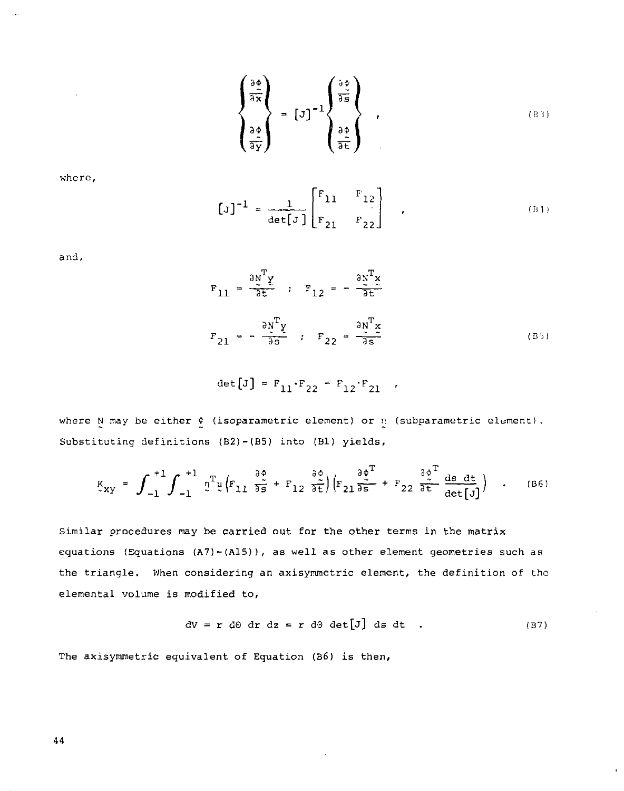$$
\begin{pmatrix}\n\frac{\partial \phi}{\partial \tilde{x}} \\
\frac{\partial \phi}{\partial \tilde{y}}\n\end{pmatrix} = [J]^{-1} \begin{pmatrix}\n\frac{\partial \phi}{\partial \tilde{z}} \\
\frac{\partial \phi}{\partial \tilde{z}}\n\end{pmatrix},
$$
\n(B3)

whcro,

$$
\left[\mathbf{J}\right]^{-1} = \frac{1}{\det\left[\mathbf{J}\right]} \begin{bmatrix} \mathbf{F}_{11} & \mathbf{F}_{12} \\ \mathbf{F}_{21} & \mathbf{F}_{22} \end{bmatrix},\tag{B1}
$$

and.

$$
F_{11} = \frac{\partial N^T \gamma}{\partial t}, \quad F_{12} = -\frac{\partial N^T \gamma}{\partial t}
$$
  

$$
F_{21} = -\frac{\partial N^T \gamma}{\partial s}, \quad F_{22} = \frac{\partial N^T \gamma}{\partial s}
$$
 (B5)

$$
\det[\mathbf{J}] = \mathbf{F}_{11} \cdot \mathbf{F}_{22} - \mathbf{F}_{12} \cdot \mathbf{F}_{21} \quad ,
$$

where N may be either  $\phi$  (isoparametric element) or n (subparametric element). Substituting definitions (B2)-(B5) into (Bl) yields,

$$
K_{xy} = \int_{-1}^{+1} \int_{-1}^{+1} \eta^T \psi \left( F_{11} \frac{\partial \phi}{\partial s} + F_{12} \frac{\partial \phi}{\partial t} \right) \left( F_{21} \frac{\partial \phi^T}{\partial s} + F_{22} \frac{\partial \phi^T}{\partial t} \frac{ds}{det[J]} \right) \quad . \tag{B6}
$$

Similar procedures may be carried out for the other terms in the matrix equations (Equations (A7)-(A15)), as well as other element geometries such as the triangle. When considering an axisymmetric element, the definition of the elemental volume is modified to,

$$
dV = r d\theta dr dz = r d\theta det[J] ds dt . \qquad (B7)
$$

The axisymmetric equivalent of Equation (B6) is then,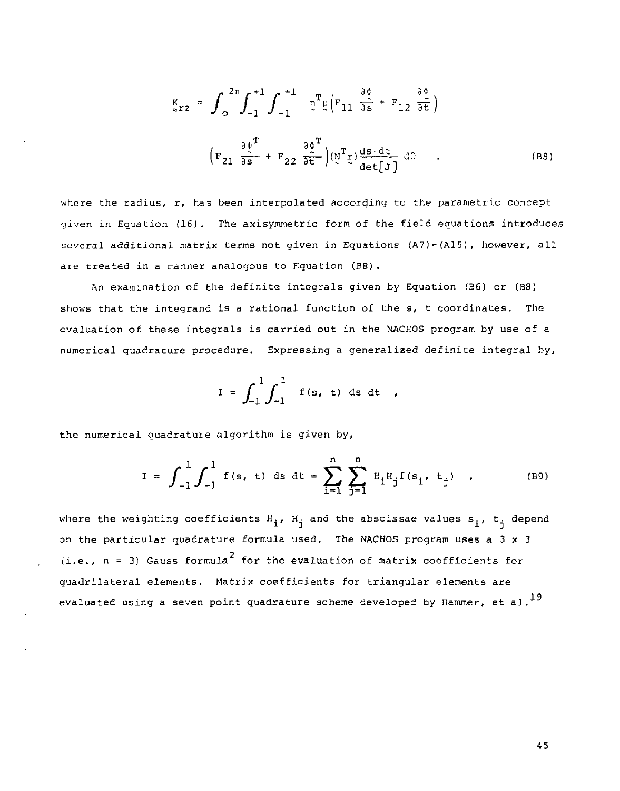$$
K_{\epsilon r2} = \int_{0}^{2\pi} \int_{-1}^{+1} \int_{-1}^{+1} \mathfrak{v}^{T} \mu \left( F_{11} \frac{\partial \phi}{\partial s} + F_{12} \frac{\partial \phi}{\partial t} \right)
$$
  

$$
\left( F_{21} \frac{\partial \phi^{T}}{\partial s} + F_{22} \frac{\partial \phi^{T}}{\partial t} \right) \left( \mathfrak{v}^{T} \mathfrak{v} \right) \frac{ds}{det} \left( J \right) dS
$$
 (B8)

where the radius, r, has been interpolated according to the parametric concept given in Equation (16). The axisymmetric form of the field equations introduces several additional matrix terms not given in Equations (A7)-(A15), however, all are treated in a manner analogous to Equation (B8) .

An examination of the definite integrals given by Equation (B6) or (B8) shows that the integrand is a rational function of the s, t coordinates. The evaluation of these integrals is carried out in the NACHOS program by use of a numerical quadrature procedure. Expressing a generalized definite integral by,

$$
I = \int_{-1}^{1} \int_{-1}^{1} f(s, t) ds dt ,
$$

the numerical quadrature algorithm is given by,

$$
I = \int_{-1}^{1} \int_{-1}^{1} f(s, t) ds dt = \sum_{i=1}^{n} \sum_{j=1}^{n} H_{i} H_{j} f(s_{i}, t_{j}) , \qquad (B9)
$$

where the weighting coefficients  $H_{\frac{1}{2}}$ ,  $H_{\frac{1}{3}}$  and the abscissae values  $s_{\frac{1}{3}}$ ,  $t_{\frac{1}{3}}$  depend on the particular quadrature formula used. The NACHOS program uses a 3 x 3 (i.e.,  $n = 3$ ) Gauss formula<sup>2</sup> for the evaluation of matrix coefficients for quadrilateral elements. Matrix coefficients for triangular elements are evaluated using a seven point quadrature scheme developed by Hammer, et al.<sup>19</sup>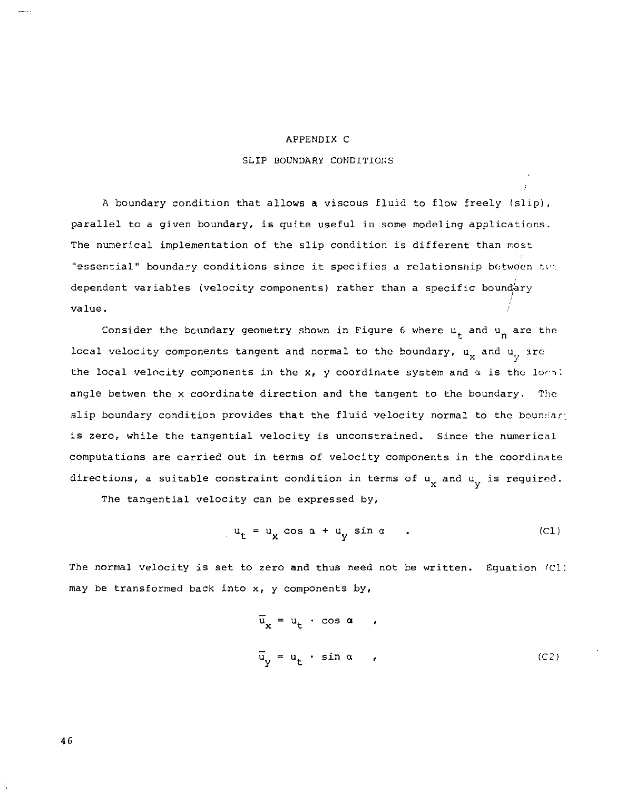#### APPENDIX C

#### SLIP BOUNDARY CONDITIONS

A boundary condition that allows a viscous fluid to flow freely (slip), parallel to a given boundary, is quite useful in some modeling applications. The numerical implementation of the slip condition is different than most "essential" boundary conditions since it specifies a relationship between two dependent variables (velocity components) rather than a specific boundary value.

Consider the boundary geometry shown in Figure 6 where  $u<sub>r</sub>$  and  $u<sub>n</sub>$  are the local velocity components tangent and normal to the boundary,  $u_x$  and  $u_y$  are the local velocity components in the  $x$ , y coordinate system and  $\alpha$  is the local angle betwen the x coordinate direction and the tangent to the boundary. The alip boundary condition provides that the fluid velocity normal to the boundary is zero, while the tangential velocity is unconstrained. Since the numerical computations are carried out in terms of velocity components in the coordinate directions, a suitable constraint condition in terms of  $u_x$  and  $u_y$  is required.

The tangential velocity can be expressed by,

$$
u_t = u_x \cos \alpha + u_y \sin \alpha \qquad . \tag{C1}
$$

The normal velocity is set to zero and thus need not be written. Equation (Cl) may be transformed back into x, y components by,

$$
\overline{u}_{x} = u_{t} \cdot \cos \alpha ,
$$
  

$$
\overline{u}_{y} = u_{t} \cdot \sin \alpha ,
$$
 (C2)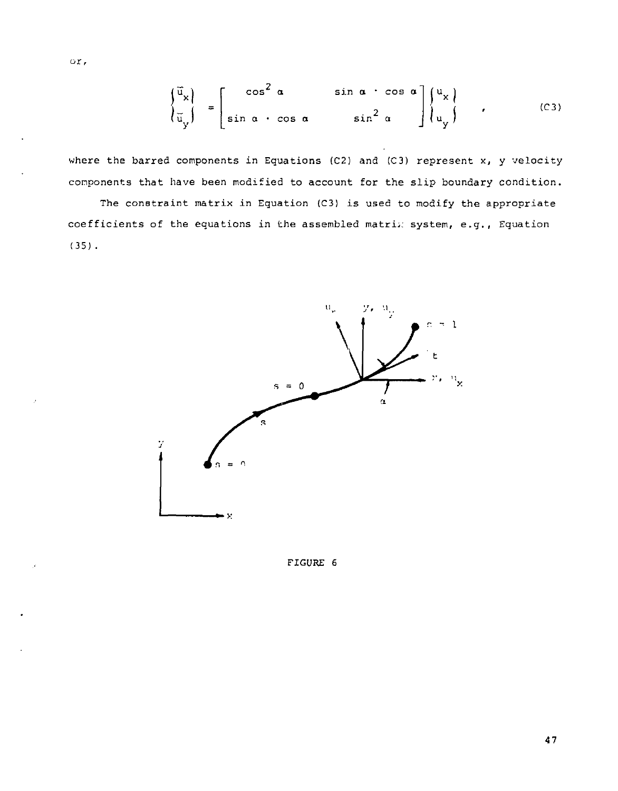$$
\begin{pmatrix} \vec{u}_{x} \\ \vec{u}_{y} \end{pmatrix} = \begin{bmatrix} \cos^{2} \alpha & \sin \alpha \cdot \cos \alpha \\ \sin \alpha \cdot \cos \alpha & \sin^{2} \alpha \end{bmatrix} \begin{pmatrix} u_{x} \\ u_{y} \end{pmatrix} , \qquad (C3)
$$

where the barred components in Equations (C2) and (C3) represent  $x$ , y velocity components that have been modified to account for the slip boundary condition.

The constraint matrix in Equation (C3) is used to modify the appropriate coefficients of the equations in the assembled matrix system, e.g., Equation (35) .



FIGURE 6

or,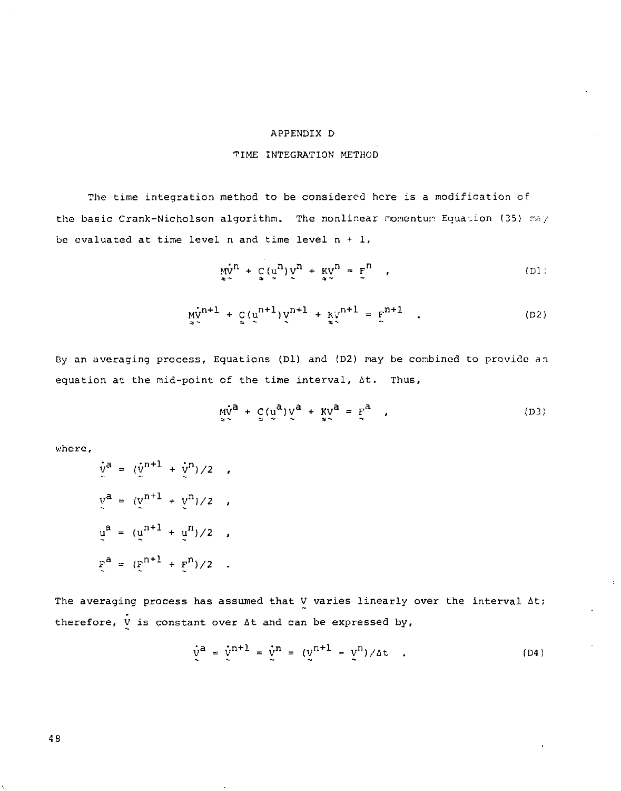# APPENDIX D

# TINE INTEGRATION METHOD

The time integration method to be considered here is a modification of the basic Crank-Nicholson algorithm. The nonlinear momentum Equation (35) may be evaluated at time level n and time level  $n + 1$ ,

$$
\mathop{\rm mv}\limits_{\ast\sim}^{\rm uv} + \mathop{\rm g}\limits_{\rm w}(\mathop{\rm v}\limits^{\rm n})\mathop{\rm v}\limits^{\rm n} + \mathop{\rm kv}\limits_{\rm w}^{\rm v} = \mathop{\rm F}\limits^{\rm n} \quad , \tag{D1}
$$

$$
\mathbf{M}_{\infty}^{v^{n+1}} + \mathbf{C}(\mathbf{u}^{n+1})\mathbf{V}^{n+1} + \mathbf{K}_{\infty}^{v^{n+1}} = \mathbf{E}^{n+1} \quad . \tag{D2}
$$

By an averaging process, Equations (Dl) and (D2) nay be combined to provide *an*  equation at the mid-point of the time interval, At. Thus,

$$
\underline{\mathsf{M}}_{\mathsf{S}}^{\mathsf{A}} + \underline{\mathsf{C}}_{\mathsf{S}}(\underline{\mathsf{U}}^{\mathsf{A}})\underline{\mathsf{V}}^{\mathsf{B}} + \underline{\mathsf{K}}_{\mathsf{S}}^{\mathsf{A}} = \underline{\mathsf{F}}^{\mathsf{A}} \tag{D3}
$$

where,

$$
\dot{v}^{a} = (\dot{v}^{n+1} + \dot{v}^{n})/2 ,
$$
\n
$$
v^{a} = (v^{n+1} + v^{n})/2 ,
$$
\n
$$
u^{a} = (u^{n+1} + u^{n})/2 ,
$$
\n
$$
\dot{v}^{a} = (\dot{v}^{n+1} + \dot{v}^{n})/2 .
$$

The averaging process has assumed that V varies linearly over the interval At; therefore,  $\dot{V}$  is constant over  $\Delta t$  and can be expressed by,

$$
\dot{v}^{a} = \dot{v}^{n+1} = \dot{v}^{n} = (v^{n+1} - v^{n})/4t
$$
 (D4)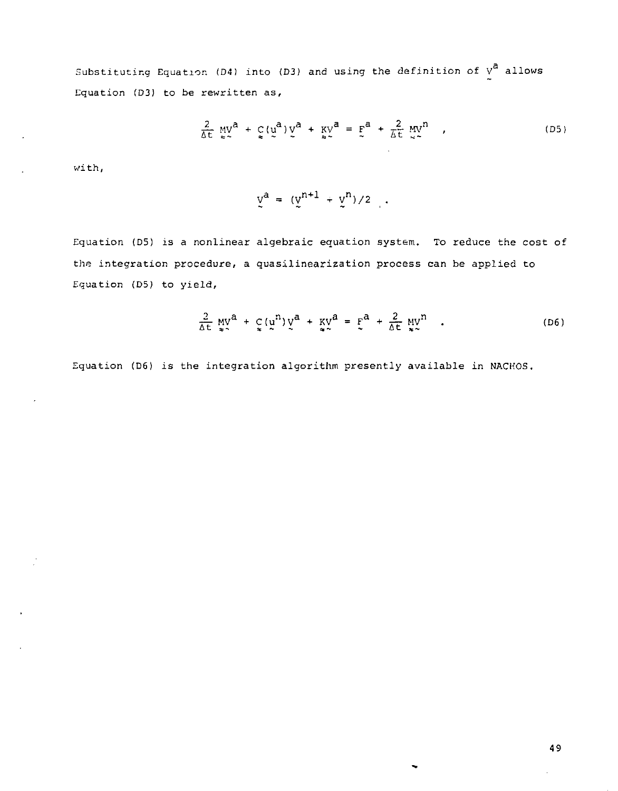Substituting Equation (D4) into (D3) and using the definition of  $v^a$  allows Equation (D3) to be rewritten as,

$$
\frac{2}{\Delta t} \underset{\approx}{\text{MV}}^a + \underset{\approx}{\text{C}} (\underset{\sim}{\text{U}}^a) \underset{\sim}{\text{V}}^a + \underset{\approx}{\text{KV}}^a = \underset{\sim}{\text{F}}^a + \frac{2}{\Delta t} \underset{\sim}{\text{MV}}^n \tag{D5}
$$

with,

$$
\underline{v}^a = (\underline{v}^{n+1} + \underline{v}^n)/2 \quad .
$$

Equation (D5) is a nonlinear algebraic equation system. To reduce the cost of the integration procedure, a quasilinearization process can be applied to Equation (D5) to yield,

$$
\frac{2}{\Delta t} \mathbf{w}^{\mathbf{0}} + \mathbf{c} (\mathbf{u}^{\mathbf{0}}) \mathbf{v}^{\mathbf{0}} + \mathbf{w}^{\mathbf{0}} = \mathbf{F}^{\mathbf{0}} + \frac{2}{\Delta t} \mathbf{w}^{\mathbf{0}} \tag{D6}
$$

Equation (D6) is the integration algorithm presently available in NACHOS.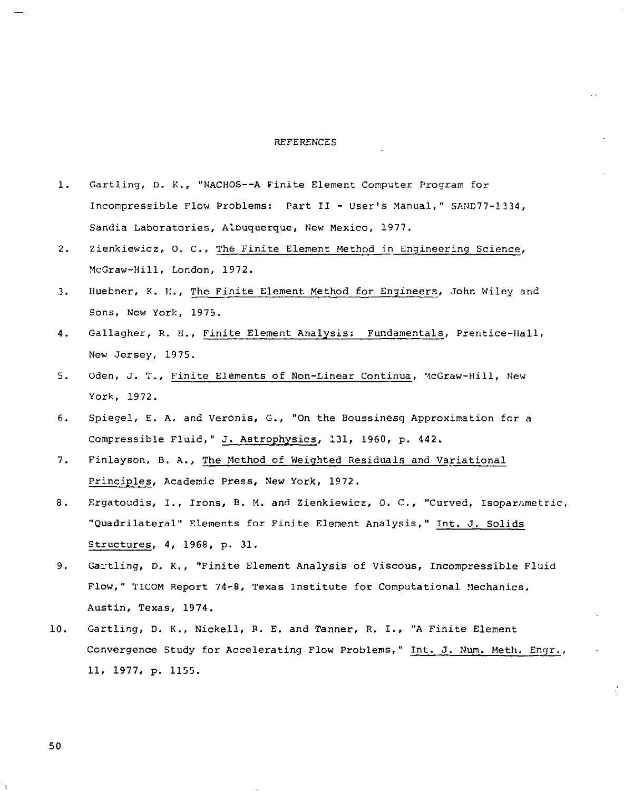#### REFERENCES

- 1. Gartling, D. *K.,* "NACHOS—A Finite Element Computer Program for Incompressible Flow Problems: Part II - User's Manual," SAND77-1334, Sandia Laboratories, Alnuquerque, New Mexico, 1977.
- 2. Zienkiewicz, O. C., The Finite Element Method in Engineering Science, McGraw-Hill, London, 1972.
- 3. Huebner, K. H., The Finite Element Method for Engineers, John Wiley and Sons, New York, 1975.
- 4. Gallagher, R. H., Finite Element Analysis: Fundamentals, Prentice-Hall, New Jersey, 1975.
- 5. Oden, J. T., Finite Elements of Non-Linear Continua, McGraw-Hill, New York, 1972.
- 6. Spiegel, E. A. and Veronis, G., "On the Boussinesq Approximation for a Compressible Fluid," J. Astrophysics, 131, 1960, p. 442.
- 7. Finlayson, B. A., The Method of Weighted Residuals and Variational Principles, Academic Press, New York, 1972.
- 8. Ergatoudis, I., Irons, B. M. and Zienkiewicz, O. C., "Curved, Isoparametric, "Quadrilateral" Elements for Finite Element Analysis," Int. J. Solids Structures, 4, 1968, p. 31.
- 9. Gartling, D. K., "Finite Element Analysis of Viscous, Incompressible Fluid Flow," TICOM Report 74-8, Texas Institute for Computational Mechanics, Austin, Texas, 1974.
- 10. Gartling, D. K., Nickell, R. E. and Tanner, R. I., "A Finite Element Convergence Study for Accelerating Flow Problems," Int. J. Num. Meth. Engr., 11, 1977, p. 1155.

÷.